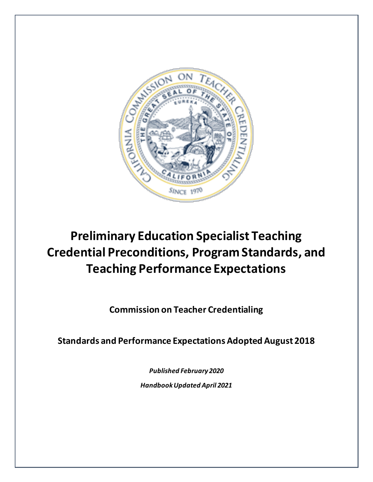

# <span id="page-0-0"></span>**Preliminary Education Specialist Teaching Credential Preconditions, Program Standards, and Teaching Performance Expectations**

**Commission on Teacher Credentialing**

**Standards and Performance Expectations Adopted August 2018**

*Published February 2020 Handbook Updated April 2021*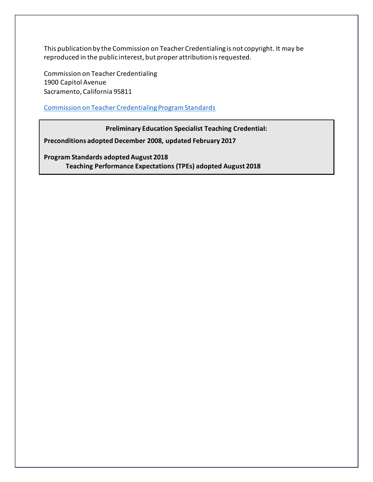This publication by the Commission on Teacher Credentialing is not copyright. It may be reproduced in the public interest, but proper attribution is requested.

Commission on Teacher Credentialing 1900 Capitol Avenue Sacramento, California 95811

[Commission on Teacher Credentialing Program Standards](https://www.ctc.ca.gov/educator-prep/stds-prep-program)

**Preliminary Education Specialist Teaching Credential:**

**Preconditions adopted December 2008, updated February 2017**

**Program Standards adopted August 2018 Teaching Performance Expectations (TPEs) adopted August 2018**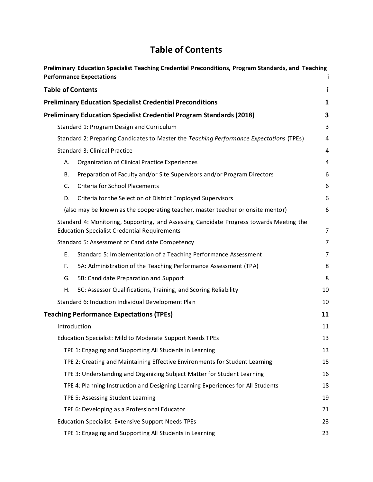# **Table of Contents**

<span id="page-2-0"></span>

|                               | Preliminary Education Specialist Teaching Credential Preconditions, Program Standards, and Teaching<br><b>Performance Expectations</b>          |    |
|-------------------------------|-------------------------------------------------------------------------------------------------------------------------------------------------|----|
|                               | <b>Table of Contents</b>                                                                                                                        | i  |
|                               | <b>Preliminary Education Specialist Credential Preconditions</b>                                                                                | 1  |
|                               | <b>Preliminary Education Specialist Credential Program Standards (2018)</b>                                                                     | 3  |
|                               | Standard 1: Program Design and Curriculum                                                                                                       | 3  |
|                               | Standard 2: Preparing Candidates to Master the Teaching Performance Expectations (TPEs)                                                         | 4  |
| Standard 3: Clinical Practice |                                                                                                                                                 |    |
| А.                            | Organization of Clinical Practice Experiences                                                                                                   | 4  |
| В.                            | Preparation of Faculty and/or Site Supervisors and/or Program Directors                                                                         | 6  |
| C.                            | <b>Criteria for School Placements</b>                                                                                                           | 6  |
| D.                            | Criteria for the Selection of District Employed Supervisors                                                                                     | 6  |
|                               | (also may be known as the cooperating teacher, master teacher or onsite mentor)                                                                 | 6  |
|                               | Standard 4: Monitoring, Supporting, and Assessing Candidate Progress towards Meeting the<br><b>Education Specialist Credential Requirements</b> | 7  |
|                               | Standard 5: Assessment of Candidate Competency                                                                                                  | 7  |
| Ε.                            | Standard 5: Implementation of a Teaching Performance Assessment                                                                                 | 7  |
| F.                            | 5A: Administration of the Teaching Performance Assessment (TPA)                                                                                 | 8  |
| G.                            | 5B: Candidate Preparation and Support                                                                                                           | 8  |
| Η.                            | 5C: Assessor Qualifications, Training, and Scoring Reliability                                                                                  | 10 |
|                               | Standard 6: Induction Individual Development Plan                                                                                               | 10 |
|                               | <b>Teaching Performance Expectations (TPEs)</b>                                                                                                 | 11 |
|                               | Introduction                                                                                                                                    | 11 |
|                               | Education Specialist: Mild to Moderate Support Needs TPEs                                                                                       | 13 |
|                               | TPE 1: Engaging and Supporting All Students in Learning                                                                                         | 13 |
|                               | TPE 2: Creating and Maintaining Effective Environments for Student Learning                                                                     | 15 |
|                               | TPE 3: Understanding and Organizing Subject Matter for Student Learning                                                                         | 16 |
|                               | TPE 4: Planning Instruction and Designing Learning Experiences for All Students                                                                 | 18 |
|                               | TPE 5: Assessing Student Learning                                                                                                               | 19 |
|                               | TPE 6: Developing as a Professional Educator                                                                                                    | 21 |
|                               | <b>Education Specialist: Extensive Support Needs TPEs</b>                                                                                       | 23 |
|                               | TPE 1: Engaging and Supporting All Students in Learning                                                                                         | 23 |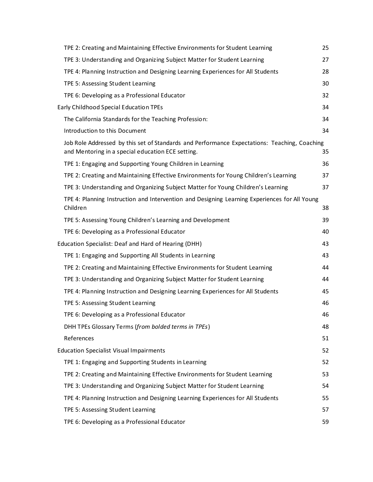|                                        | TPE 2: Creating and Maintaining Effective Environments for Student Learning                                                                       | 25 |  |  |
|----------------------------------------|---------------------------------------------------------------------------------------------------------------------------------------------------|----|--|--|
|                                        | TPE 3: Understanding and Organizing Subject Matter for Student Learning                                                                           | 27 |  |  |
|                                        | TPE 4: Planning Instruction and Designing Learning Experiences for All Students                                                                   | 28 |  |  |
|                                        | TPE 5: Assessing Student Learning                                                                                                                 | 30 |  |  |
|                                        | TPE 6: Developing as a Professional Educator                                                                                                      | 32 |  |  |
| Early Childhood Special Education TPEs |                                                                                                                                                   |    |  |  |
|                                        | The California Standards for the Teaching Profession:                                                                                             | 34 |  |  |
|                                        | Introduction to this Document                                                                                                                     | 34 |  |  |
|                                        | Job Role Addressed by this set of Standards and Performance Expectations: Teaching, Coaching<br>and Mentoring in a special education ECE setting. | 35 |  |  |
|                                        | TPE 1: Engaging and Supporting Young Children in Learning                                                                                         | 36 |  |  |
|                                        | TPE 2: Creating and Maintaining Effective Environments for Young Children's Learning                                                              | 37 |  |  |
|                                        | TPE 3: Understanding and Organizing Subject Matter for Young Children's Learning                                                                  | 37 |  |  |
|                                        | TPE 4: Planning Instruction and Intervention and Designing Learning Experiences for All Young<br>Children                                         | 38 |  |  |
|                                        | TPE 5: Assessing Young Children's Learning and Development                                                                                        | 39 |  |  |
|                                        | TPE 6: Developing as a Professional Educator                                                                                                      | 40 |  |  |
|                                        | Education Specialist: Deaf and Hard of Hearing (DHH)<br>43                                                                                        |    |  |  |
|                                        | TPE 1: Engaging and Supporting All Students in Learning                                                                                           | 43 |  |  |
|                                        | TPE 2: Creating and Maintaining Effective Environments for Student Learning                                                                       | 44 |  |  |
|                                        | TPE 3: Understanding and Organizing Subject Matter for Student Learning                                                                           | 44 |  |  |
|                                        | TPE 4: Planning Instruction and Designing Learning Experiences for All Students                                                                   | 45 |  |  |
|                                        | TPE 5: Assessing Student Learning                                                                                                                 | 46 |  |  |
|                                        | TPE 6: Developing as a Professional Educator                                                                                                      | 46 |  |  |
|                                        | DHH TPEs Glossary Terms (from bolded terms in TPEs)                                                                                               | 48 |  |  |
|                                        | References                                                                                                                                        | 51 |  |  |
|                                        | <b>Education Specialist Visual Impairments</b>                                                                                                    | 52 |  |  |
|                                        | TPE 1: Engaging and Supporting Students in Learning                                                                                               | 52 |  |  |
|                                        | TPE 2: Creating and Maintaining Effective Environments for Student Learning                                                                       | 53 |  |  |
|                                        | TPE 3: Understanding and Organizing Subject Matter for Student Learning                                                                           | 54 |  |  |
|                                        | TPE 4: Planning Instruction and Designing Learning Experiences for All Students                                                                   | 55 |  |  |
|                                        | TPE 5: Assessing Student Learning                                                                                                                 | 57 |  |  |
|                                        | TPE 6: Developing as a Professional Educator                                                                                                      | 59 |  |  |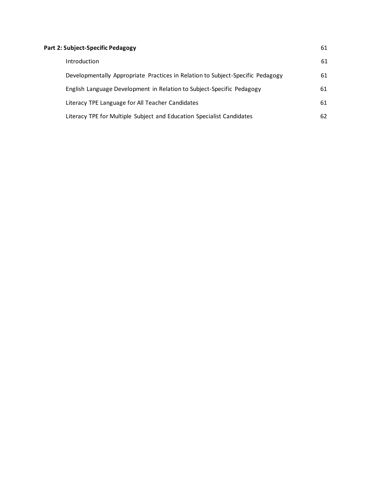| Part 2: Subject-Specific Pedagogy |                                                                                |    |
|-----------------------------------|--------------------------------------------------------------------------------|----|
|                                   | <b>Introduction</b>                                                            | 61 |
|                                   | Developmentally Appropriate Practices in Relation to Subject-Specific Pedagogy | 61 |
|                                   | English Language Development in Relation to Subject-Specific Pedagogy          | 61 |
|                                   | Literacy TPE Language for All Teacher Candidates                               | 61 |
|                                   | Literacy TPE for Multiple Subject and Education Specialist Candidates          | 62 |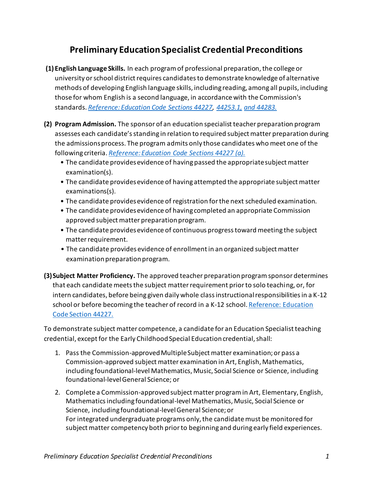# **Preliminary Education Specialist Credential Preconditions**

- <span id="page-5-0"></span>**(1) English Language Skills.** In each program of professional preparation, the college or university or school district requires candidates to demonstrate knowledge of alternative methods of developing English language skills, including reading, among all pupils, including those for whom English is a second language, in accordance with the Commission's standards. *[Reference: Education Code Sections 44227,](http://www.leginfo.ca.gov/cgi-bin/waisgate?WAISdocID=01735920250+1+0+0&WAISaction=retrieve) [44253.1,](http://www.leginfo.ca.gov/cgi-bin/waisgate?WAISdocID=01788823397+0+0+0&WAISaction=retrieve) [and 44283.](http://www.leginfo.ca.gov/cgi-bin/waisgate?WAISdocID=01788823397+6+0+0&WAISaction=retrieve)*
- **(2) Program Admission.** The sponsor of an education specialist teacher preparation program assesses each candidate's standing in relation to required subject matter preparation during the admissions process. The program admits only those candidates who meet one of the following criteria. *[Reference: Education Code Sections 44227 \(a\).](http://www.leginfo.ca.gov/cgi-bin/waisgate?WAISdocID=01735920250+1+0+0&WAISaction=retrieve)*
	- The candidate provides evidence of having passed the appropriate subject matter examination(s).
	- The candidate provides evidence of having attempted the appropriate subject matter examinations(s).
	- The candidate provides evidence of registration for the next scheduled examination.
	- The candidate provides evidence of having completed an appropriate Commission approved subject matter preparation program.
	- The candidate provides evidence of continuous progress toward meeting the subject matter requirement.
	- The candidate provides evidence of enrollment in an organized subject matter examination preparation program.
- **(3)Subject Matter Proficiency.** The approved teacher preparation program sponsor determines that each candidate meets the subject matter requirement prior to solo teaching, or, for intern candidates, before being given daily whole class instructional responsibilities in a K-12 school or before becoming the teacher of record in a K-12 school[. Reference: Education](http://www.ctc.ca.gov/educator-prep/standards/EPPSP-prelim-EdSp.pdf)  [Code Section 44227.](http://www.ctc.ca.gov/educator-prep/standards/EPPSP-prelim-EdSp.pdf)

To demonstrate subject matter competence, a candidate for an Education Specialist teaching credential, except for the Early Childhood Special Education credential, shall:

- 1. Pass the Commission-approved Multiple Subject matter examination; or pass a Commission-approved subject matter examination in Art, English, Mathematics, including foundational-level Mathematics, Music, Social Science or Science, including foundational-level General Science; or
- 2. Complete a Commission-approved subject matter program in Art, Elementary, English, Mathematics including foundational-level Mathematics, Music, Social Science or Science, including foundational-level General Science; or For integrated undergraduate programs only, the candidate must be monitored for subject matter competency both prior to beginning and during early field experiences.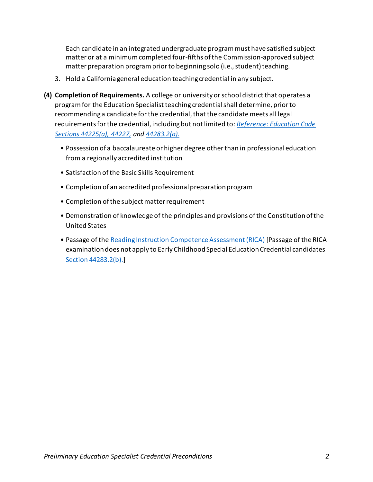Each candidate in an integrated undergraduate program must have satisfied subject matter or at a minimum completed four-fifths of the Commission-approved subject matter preparation program prior to beginning solo (i.e., student) teaching.

- 3. Hold a California general education teaching credential in any subject.
- **(4) Completion of Requirements.** A college or university or school district that operates a program for the Education Specialist teaching credential shall determine, prior to recommending a candidate for the credential, that the candidate meets all legal requirements for the credential, including but not limited to: *[Reference: Education Code](http://www.leginfo.ca.gov/cgi-bin/waisgate?WAISdocID=01735920250+1+0+0&WAISaction=retrieve)  [Sections 44225\(a\), 44227,](http://www.leginfo.ca.gov/cgi-bin/waisgate?WAISdocID=01735920250+1+0+0&WAISaction=retrieve) and [44283.2\(a\).](http://www.leginfo.ca.gov/cgi-bin/waisgate?WAISdocID=01788823397+6+0+0&WAISaction=retrieve)*
	- Possession of a baccalaureate or higher degree other than in professional education from a regionally accredited institution
	- Satisfaction of the Basic Skills Requirement
	- Completion of an accredited professional preparation program
	- Completion of the subject matter requirement
	- Demonstration of knowledge of the principles and provisions of the Constitution of the United States
	- Passage of the [Reading Instruction Competence Assessment \(RICA\)](http://www.rica.nesinc.com/) [Passage of the RICA examination does not apply to Early Childhood Special Education Credential candidates [Section 44283.2\(b\).\]](http://www.leginfo.ca.gov/cgi-bin/waisgate?WAISdocID=01788823397+6+0+0&WAISaction=retrieve)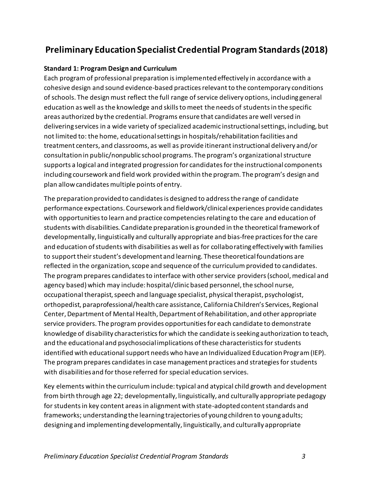# <span id="page-7-0"></span>**Preliminary Education Specialist Credential Program Standards(2018)**

#### <span id="page-7-1"></span>**Standard 1: Program Design and Curriculum**

Each program of professional preparation is implemented effectively in accordance with a cohesive design and sound evidence-based practices relevant to the contemporary conditions of schools. The design must reflect the full range of service delivery options, including general education as well as the knowledge and skills to meet the needs of students in the specific areas authorized by the credential. Programs ensure that candidates are well versed in delivering services in a wide variety of specialized academic instructional settings, including, but not limited to: the home, educational settings in hospitals/rehabilitation facilities and treatment centers, and classrooms, as well as provide itinerant instructional delivery and/or consultation in public/nonpublic school programs. The program's organizational structure supports a logical and integrated progression for candidates for the instructional components including coursework and field work provided within the program. The program's design and plan allow candidates multiple points of entry.

The preparation provided to candidates is designed to address the range of candidate performance expectations. Coursework and fieldwork/clinical experiences provide candidates with opportunities to learn and practice competencies relating to the care and education of students with disabilities. Candidate preparation is grounded in the theoretical framework of developmentally, linguistically and culturally appropriate and bias-free practices for the care and education of students with disabilities as well as for collaborating effectively with families to support their student's development and learning. These theoretical foundations are reflected in the organization, scope and sequence of the curriculum provided to candidates. The program prepares candidates to interface with other service providers (school, medical and agency based) which may include: hospital/clinic based personnel, the school nurse, occupational therapist, speech and language specialist, physical therapist, psychologist, orthopedist, paraprofessional/health care assistance, California Children's Services, Regional Center, Department of Mental Health, Department of Rehabilitation, and other appropriate service providers. The program provides opportunities for each candidate to demonstrate knowledge of disability characteristics for which the candidate is seeking authorization to teach, and the educational and psychosocial implications of these characteristics for students identified with educational support needs who have an Individualized Education Program (IEP). The program prepares candidates in case management practices and strategies for students with disabilities and for those referred for special education services.

Key elements within the curriculum include: typical and atypical child growth and development from birth through age 22; developmentally, linguistically, and culturally appropriate pedagogy for students in key content areas in alignment with state-adopted content standards and frameworks; understanding the learning trajectories of young children to young adults; designing and implementing developmentally, linguistically, and culturally appropriate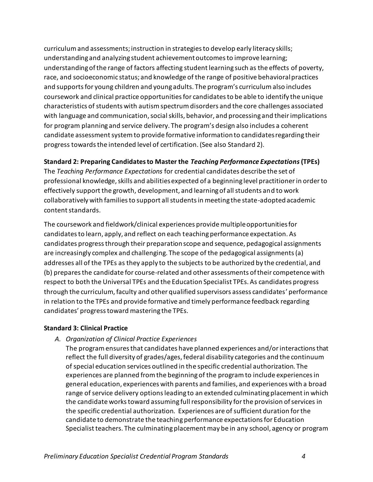curriculum and assessments; instruction in strategies to develop early literacy skills; understanding and analyzing student achievement outcomes to improve learning; understanding of the range of factors affecting student learning such as the effects of poverty, race, and socioeconomic status; and knowledge of the range of positive behavioral practices and supports for young children and young adults. The program's curriculum also includes coursework and clinical practice opportunities for candidates to be able to identify the unique characteristics of students with autism spectrum disorders and the core challenges associated with language and communication, social skills, behavior, and processing and their implications for program planning and service delivery. The program's design also includes a coherent candidate assessment system to provide formative information to candidates regarding their progress towards the intended level of certification. (See also Standard 2).

#### <span id="page-8-0"></span>**Standard 2: Preparing Candidates to Master the** *Teaching Performance Expectations***(TPEs)**

The *Teaching Performance Expectations* for credential candidates describe the set of professional knowledge, skills and abilities expected of a beginning level practitioner in order to effectively support the growth, development, and learning of all students and to work collaboratively with families to support all students in meeting the state-adopted academic content standards.

The coursework and fieldwork/clinical experiences provide multiple opportunities for candidates to learn, apply, and reflect on each teaching performance expectation. As candidates progress through their preparation scope and sequence, pedagogical assignments are increasingly complex and challenging. The scope of the pedagogical assignments (a) addresses all of the TPEs as they apply to the subjects to be authorized by the credential, and (b) prepares the candidate for course-related and other assessments of their competence with respect to both the Universal TPEs and the Education Specialist TPEs. As candidates progress through the curriculum, faculty and other qualified supervisors assess candidates' performance in relation to the TPEs and provide formative and timely performance feedback regarding candidates' progress toward mastering the TPEs.

#### <span id="page-8-2"></span><span id="page-8-1"></span>**Standard 3: Clinical Practice**

#### *A. Organization of Clinical Practice Experiences*

The program ensures that candidates have planned experiences and/or interactions that reflect the full diversity of grades/ages, federal disability categories and the continuum of special education services outlined in the specific credential authorization. The experiences are planned from the beginning of the program to include experiences in general education, experiences with parents and families, and experiences with a broad range of service delivery options leading to an extended culminating placement in which the candidate works toward assuming full responsibility for the provision of services in the specific credential authorization. Experiences are of sufficient duration for the candidate to demonstrate the teaching performance expectations for Education Specialist teachers. The culminating placement may be in any school, agency or program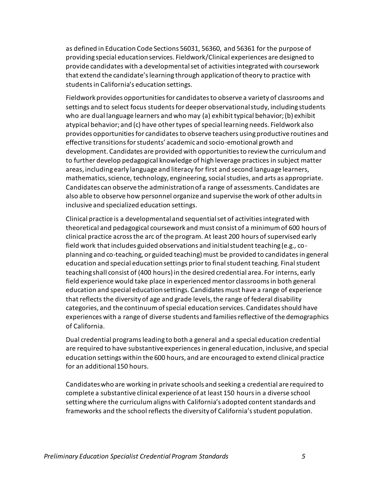as defined in Education Code Sections 56031, 56360, and 56361 for the purpose of providing special education services. Fieldwork/Clinical experiences are designed to provide candidates with a developmental set of activities integrated with coursework that extend the candidate's learning through application of theory to practice with students in California's education settings.

Fieldwork provides opportunities for candidates to observe a variety of classrooms and settings and to select focus students for deeper observational study, including students who are dual language learners and who may (a) exhibit typical behavior; (b) exhibit atypical behavior; and (c) have other types of special learning needs. Fieldwork also provides opportunities for candidates to observe teachers using productive routines and effective transitions for students' academic and socio-emotional growth and development. Candidates are provided with opportunities to review the curriculum and to further develop pedagogical knowledge of high leverage practices in subject matter areas, including early language and literacy for first and second language learners, mathematics, science, technology, engineering, social studies, and arts as appropriate. Candidates can observe the administration of a range of assessments. Candidates are also able to observe how personnel organize and supervise the work of other adults in inclusive and specialized education settings.

Clinical practice is a developmental and sequential set of activities integrated with theoretical and pedagogical coursework and must consist of a minimum of 600 hours of clinical practice across the arc of the program. At least 200 hours of supervised early field work that includes guided observations and initial student teaching (e.g., coplanning and co-teaching, or guided teaching) must be provided to candidates in general education and special education settings prior to final student teaching. Final student teaching shall consist of (400 hours) in the desired credential area. For interns, early field experience would take place in experienced mentor classrooms in both general education and special education settings. Candidates must have a range of experience that reflects the diversity of age and grade levels, the range of federal disability categories, and the continuum of special education services. Candidates should have experiences with a range of diverse students and families reflective of the demographics of California.

Dual credential programs leading to both a general and a special education credential are required to have substantive experiences in general education, inclusive, and special education settings within the 600 hours, and are encouraged to extend clinical practice for an additional 150 hours.

Candidates who are working in private schools and seeking a credential are required to complete a substantive clinical experience of at least 150 hours in a diverse school setting where the curriculum aligns with California's adopted content standards and frameworks and the school reflects the diversity of California's student population.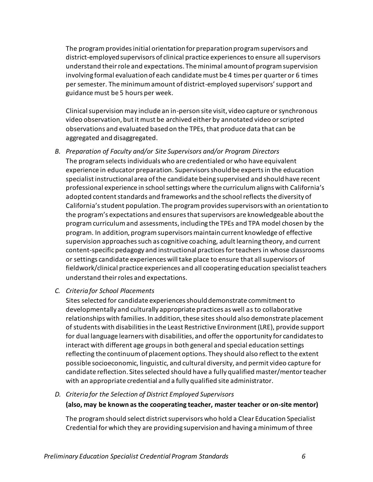The program provides initial orientation for preparation program supervisors and district-employed supervisors of clinical practice experiences to ensure all supervisors understand their role and expectations. The minimal amount of program supervision involving formal evaluation of each candidate must be 4 times per quarter or 6 times per semester. The minimum amount of district-employed supervisors' support and guidance must be 5 hours per week.

Clinical supervision may include an in-person site visit, video capture or synchronous video observation, but it must be archived either by annotated video or scripted observations and evaluated based on the TPEs, that produce data that can be aggregated and disaggregated.

- <span id="page-10-0"></span>*B. Preparation of Faculty and/or Site Supervisors and/or Program Directors* The program selects individuals who are credentialed or who have equivalent experience in educator preparation. Supervisors should be experts in the education specialist instructional area of the candidate being supervised and should have recent professional experience in school settings where the curriculum aligns with California's adopted content standards and frameworks and the school reflects the diversity of California's student population. The program provides supervisors with an orientation to the program's expectations and ensures that supervisors are knowledgeable about the program curriculum and assessments, including the TPEs and TPA model chosen by the program. In addition, program supervisors maintain current knowledge of effective supervision approaches such as cognitive coaching, adult learning theory, and current content-specific pedagogy and instructional practices for teachers in whose classrooms or settings candidate experiences will take place to ensure that all supervisors of fieldwork/clinical practice experiences and all cooperating education specialist teachers understand their roles and expectations.
- <span id="page-10-1"></span>*C. Criteria for School Placements*

Sites selected for candidate experiences should demonstrate commitment to developmentally and culturally appropriate practices as well as to collaborative relationships with families. In addition, these sites should also demonstrate placement of students with disabilities in the Least Restrictive Environment (LRE), provide support for dual language learners with disabilities, and offer the opportunity for candidates to interact with different age groups in both general and special education settings reflecting the continuum of placement options. They should also reflect to the extent possible socioeconomic, linguistic, and cultural diversity, and permit video capture for candidate reflection. Sites selected should have a fully qualified master/mentor teacher with an appropriate credential and a fully qualified site administrator.

#### <span id="page-10-3"></span><span id="page-10-2"></span>*D. Criteria for the Selection of District Employed Supervisors*

#### **(also, may be known as the cooperating teacher, master teacher or on-site mentor)**

The program should select district supervisors who hold a Clear Education Specialist Credential for which they are providing supervision and having a minimum of three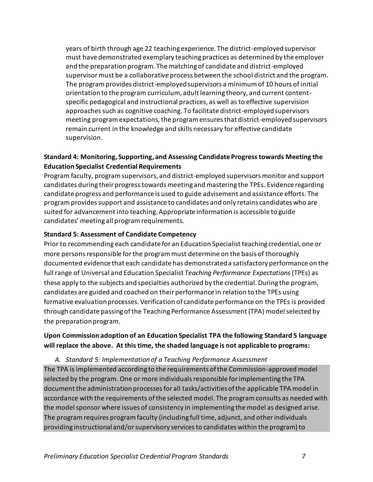years of birth through age 22 teaching experience. The district-employed supervisor must have demonstrated exemplary teaching practices as determined by the employer and the preparation program. The matching of candidate and district-employed supervisor must be a collaborative process between the school district and the program. The program provides district-employed supervisors a minimum of 10 hours of initial orientation to the program curriculum, adult learning theory, and current contentspecific pedagogical and instructional practices, as well as to effective supervision approaches such as cognitive coaching. To facilitate district-employed supervisors meeting program expectations, the program ensures that district-employed supervisors remain current in the knowledge and skills necessary for effective candidate supervision.

#### <span id="page-11-0"></span>**Standard 4: Monitoring, Supporting, and Assessing Candidate Progress towards Meeting the Education Specialist Credential Requirements**

Program faculty, program supervisors, and district-employed supervisors monitor and support candidates during their progress towards meeting and mastering the TPEs. Evidence regarding candidate progress and performance is used to guide advisement and assistance efforts. The program provides support and assistance to candidates and only retains candidates who are suited for advancement into teaching. Appropriate information is accessible to guide candidates' meeting all program requirements.

#### <span id="page-11-1"></span>**Standard 5: Assessment of Candidate Competency**

Prior to recommending each candidate for an Education Specialist teaching credential, one or more persons responsible for the program must determine on the basis of thoroughly documented evidence that each candidate has demonstrated a satisfactory performance on the fullrange of Universal and Education Specialist *Teaching Performance Expectations*(TPEs) as these apply to the subjects and specialties authorized by the credential. During the program, candidates are guided and coached on their performance in relation to the TPEs using formative evaluation processes. Verification of candidate performance on the TPEs is provided through candidate passing of the Teaching Performance Assessment (TPA) model selected by the preparation program.

#### **Upon Commission adoption of an Education Specialist TPA the following Standard 5 language will replace the above. At this time, the shaded language is not applicable to programs:**

#### *A. Standard 5: Implementation of a Teaching Performance Assessment*

<span id="page-11-2"></span>The TPA is implemented according to the requirements of the Commission-approved model selected by the program. One or more individuals responsible for implementing the TPA document the administration processes for all tasks/activities of the applicable TPA model in accordance with the requirements of the selected model. The program consults as needed with the model sponsor where issues of consistency in implementing the model as designed arise. The program requires program faculty (including full time, adjunct, and other individuals providing instructional and/or supervisory services to candidates within the program) to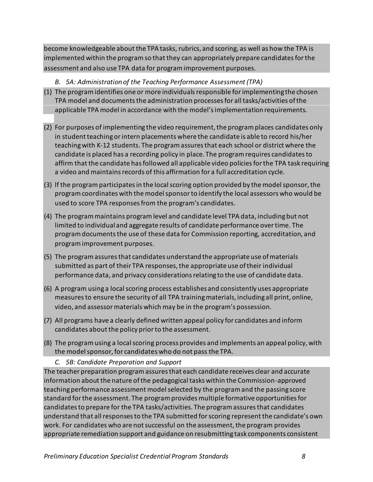become knowledgeable about the TPA tasks, rubrics, and scoring, as well as how the TPA is implemented within the program so that they can appropriately prepare candidates for the assessment and also use TPA data for program improvement purposes.

- *B. 5A: Administration of the Teaching Performance Assessment (TPA)*
- <span id="page-12-0"></span>(1) The program identifies one or more individuals responsible for implementing the chosen TPA model and documents the administration processes for all tasks/activities of the applicable TPA model in accordance with the model's implementation requirements.
- (2) For purposes of implementing the video requirement, the program places candidates only in student teaching or intern placements where the candidate is able to record his/her teaching with K-12 students. The program assures that each school or district where the candidate is placed has a recording policy in place. The program requires candidates to affirm that the candidate has followed all applicable video policies for the TPA task requiring a video and maintains records of this affirmation for a full accreditation cycle.
- (3) lf the program participates in the local scoring option provided by the model sponsor, the program coordinates with the model sponsor to identify the local assessors who would be used to score TPA responses from the program's candidates.
- (4) The program maintains program level and candidate level TPA data, including but not limited to individual and aggregate results of candidate performance over time. The program documents the use of these data for Commission reporting, accreditation, and program improvement purposes.
- (5) The program assures that candidates understand the appropriate use of materials submitted as part of their TPA responses, the appropriate use of their individual performance data, and privacy considerations relating to the use of candidate data.
- (6) A program using a local scoring process establishes and consistently uses appropriate measures to ensure the security of all TPA training materials, including all print, online, video, and assessor materials which may be in the program's possession.
- (7) All programs have a clearly defined written appeal policy for candidates and inform candidates about the policy prior to the assessment.
- (8) The program using a local scoring process provides and implements an appeal policy, with the model sponsor, for candidates who do not pass the TPA.
	- *C. 5B: Candidate Preparation and Support*

<span id="page-12-1"></span>The teacher preparation program assures that each candidate receives clear and accurate information about the nature of the pedagogical tasks within the Commission-approved teaching performance assessment model selected by the program and the passing score standard for the assessment. The program provides multiple formative opportunities for candidates to prepare for the TPA tasks/activities. The program assures that candidates understand that all responses to the TPA submitted for scoring represent the candidate's own work. For candidates who are not successful on the assessment, the program provides appropriate remediation support and guidance on resubmitting task components consistent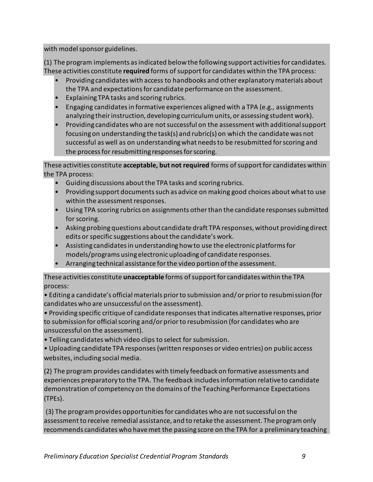with model sponsor guidelines.

(1) The program implements as indicated below the following support activities for candidates. These activities constitute **required** forms of support for candidates within the TPA process:

- Providing candidates with access to handbooks and other explanatory materials about the TPA and expectations for candidate performance on the assessment.
- Explaining TPA tasks and scoring rubrics.
- Engaging candidates in formative experiences aligned with a TPA (e.g., assignments analyzing their instruction, developing curriculum units, or assessing student work).
- Providing candidates who are not successful on the assessment with additional support focusing on understanding the task(s) and rubric(s) on which the candidate was not successful as well as on understanding what needs to be resubmitted for scoring and the process for resubmitting responses for scoring.

These activities constitute **acceptable, but not required** forms of support for candidates within the TPA process:

- Guiding discussions about the TPA tasks and scoring rubrics.
- Providing support documents such as advice on making good choices about what to use within the assessment responses.
- Using TPA scoring rubrics on assignments other than the candidate responses submitted for scoring.
- Asking probing questions about candidate draft TPA responses, without providing direct edits or specific suggestions about the candidate's work.
- Assisting candidates in understanding how to use the electronic platforms for models/programs using electronic uploading of candidate responses.
- Arranging technical assistance for the video portion of the assessment.

These activities constitute **unacceptable** forms of support for candidates within the TPA process:

• Editing a candidate's official materials prior to submission and/ or prior to resubmission (for candidates who are unsuccessful on the assessment).

• Providing specific critique of candidate responses that indicates alternative responses, prior to submission for official scoring and/or prior to resubmission (for candidates who are unsuccessful on the assessment).

• Telling candidates which video clips to select for submission.

• Uploading candidate TPA responses (written responses or video entries) on public access websites, including social media.

(2) The program provides candidates with timely feedback on formative assessments and experiences preparatory to the TPA. The feedback includes information relative to candidate demonstration of competency on the domains of the Teaching Performance Expectations (TPEs).

(3) The program provides opportunities for candidates who are not successful on the assessment to receive remedial assistance, and to retake the assessment. The program only recommends candidates who have met the passing score on the TPA for a preliminary teaching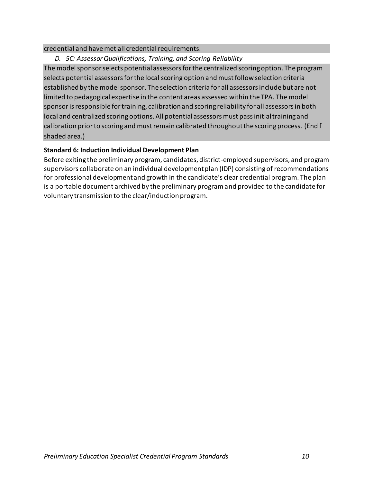#### credential and have met all credential requirements.

<span id="page-14-0"></span>*D. 5C: Assessor Qualifications, Training, and Scoring Reliability* 

The model sponsor selects potential assessors for the centralized scoring option. The program selects potential assessors for the local scoring option and must follow selection criteria established by the model sponsor. The selection criteria for all assessors include but are not limited to pedagogical expertise in the content areas assessed within the TPA. The model sponsor is responsible for training, calibration and scoring reliability for all assessors in both local and centralized scoring options. All potential assessors must pass initial training and calibration prior to scoring and must remain calibrated throughout the scoring process. (End f shaded area.)

#### <span id="page-14-1"></span>**Standard 6: Induction Individual Development Plan**

Before exiting the preliminary program, candidates, district-employed supervisors, and program supervisors collaborate on an individual development plan (IDP) consisting of recommendations for professional development and growth in the candidate's clear credential program. The plan is a portable document archived by the preliminary program and provided to the candidate for voluntary transmission to the clear/induction program.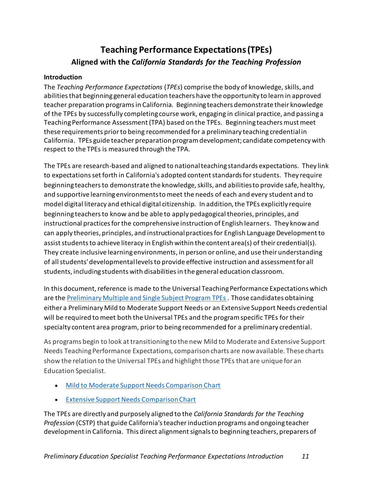# <span id="page-15-0"></span>**Teaching Performance Expectations (TPEs) Aligned with the** *California Standards for the Teaching Profession*

#### <span id="page-15-1"></span>**Introduction**

The *Teaching Performance Expectations* (*TPEs*) comprise the body of knowledge, skills, and abilities that beginning general education teachers have the opportunity to learn in approved teacher preparation programs in California. Beginning teachers demonstrate their knowledge of the TPEs by successfully completing course work, engaging in clinical practice, and passing a Teaching Performance Assessment (TPA) based on the TPEs. Beginning teachers must meet these requirements prior to being recommended for a preliminary teaching credential in California. TPEs guide teacher preparation program development; candidate competency with respect to the TPEs is measured through the TPA.

The TPEs are research-based and aligned to national teaching standards expectations. They link to expectations set forth in California's adopted content standards for students. They require beginning teachers to demonstrate the knowledge, skills, and abilities to provide safe, healthy, and supportive learning environments to meet the needs of each and every student and to model digital literacy and ethical digital citizenship. In addition, the TPEs explicitly require beginning teachers to know and be able to apply pedagogical theories, principles, and instructional practices for the comprehensive instruction of English learners. They know and can apply theories, principles, and instructional practices for English Language Development to assist students to achieve literacy in English within the content area(s) of their credential(s). They create inclusive learning environments, in person or online, and use their understanding of all students' developmental levels to provide effective instruction and assessment for all students, including students with disabilities in the general education classroom.

In this document, reference is made to the Universal Teaching Performance Expectations which are the Preliminary Multiple and Single Subject Program TPEs. Those candidates obtaining either a Preliminary Mild to Moderate Support Needs or an Extensive Support Needs credential will be required to meet both the Universal TPEs and the program specific TPEs for their specialty content area program, prior to being recommended for a preliminary credential.

As programs begin to look at transitioning to the new Mild to Moderate and Extensive Support Needs Teaching Performance Expectations, comparison charts are now available. These charts show the relation to the Universal TPEs and highlight those TPEs that are unique for an Education Specialist.

- [Mild to Moderate Support Needs Comparison Chart](https://www.ctc.ca.gov/docs/default-source/educator-prep/special-education-docs/mmsn-tpes-comparison-chart.pdf?sfvrsn=4)
- [Extensive Support Needs Comparison Chart](https://www.ctc.ca.gov/docs/default-source/educator-prep/special-education-docs/esn-tpes-comparison-chart.pdf?sfvrsn=4)

The TPEs are directly and purposely aligned to the *California Standards for the Teaching Profession* (CSTP) that guide California's teacher induction programs and ongoing teacher development in California. This direct alignment signals to beginning teachers, preparers of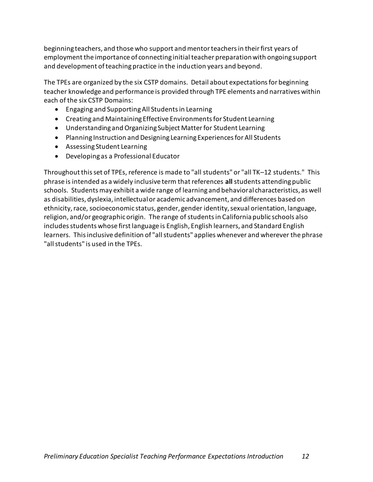beginning teachers, and those who support and mentor teachers in their first years of employment the importance of connecting initial teacher preparation with ongoing support and development of teaching practice in the induction years and beyond.

The TPEs are organized by the six CSTP domains. Detail about expectations for beginning teacher knowledge and performance is provided through TPE elements and narratives within each of the six CSTP Domains:

- Engaging and Supporting All Students in Learning
- Creating and Maintaining Effective Environments for Student Learning
- Understanding and Organizing Subject Matter for Student Learning
- Planning Instruction and Designing Learning Experiences for All Students
- Assessing Student Learning
- Developing as a Professional Educator

Throughout this set of TPEs, reference is made to "all students" or "all TK–12 students." This phrase is intended as a widely inclusive term that references **all** students attending public schools. Students may exhibit a wide range of learning and behavioral characteristics, as well as disabilities, dyslexia, intellectual or academic advancement, and differences based on ethnicity, race, socioeconomic status, gender, gender identity, sexual orientation, language, religion, and/or geographic origin. The range of students in California public schools also includes students whose first language is English, English learners, and Standard English learners. This inclusive definition of "all students" applies whenever and wherever the phrase "all students" is used in the TPEs.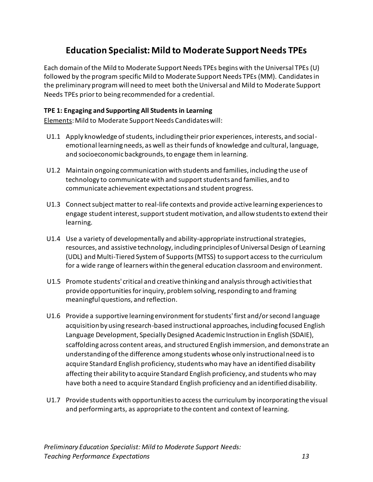# **Education Specialist: Mild to Moderate Support Needs TPEs**

<span id="page-17-0"></span>Each domain of the Mild to Moderate Support Needs TPEs begins with the Universal TPEs (U) followed by the program specific Mild to Moderate Support Needs TPEs (MM). Candidates in the preliminary program will need to meet both the Universal and Mild to Moderate Support Needs TPEs prior to being recommended for a credential.

#### <span id="page-17-1"></span>**TPE 1: Engaging and Supporting All Students in Learning**

Elements: Mild to Moderate Support Needs Candidates will:

- U1.1 Apply knowledge of students, including their prior experiences, interests, and socialemotional learning needs, as well as their funds of knowledge and cultural, language, and socioeconomic backgrounds, to engage them in learning.
- U1.2 Maintain ongoing communication with students and families, including the use of technology to communicate with and support students and families, and to communicate achievement expectations and student progress.
- U1.3 Connect subject matter to real-life contexts and provide active learning experiences to engage student interest, support student motivation, and allow students to extend their learning.
- U1.4 Use a variety of developmentally and ability-appropriate instructional strategies, resources, and assistive technology, including principles of Universal Design of Learning (UDL) and Multi-Tiered System of Supports (MTSS) to support access to the curriculum for a wide range of learners within the general education classroom and environment.
- U1.5 Promote students' critical and creative thinking and analysis through activities that provide opportunities for inquiry, problem solving, responding to and framing meaningful questions, and reflection.
- U1.6 Provide a supportive learning environment for students' first and/or second language acquisition by using research-based instructional approaches, including focused English Language Development, Specially Designed Academic Instruction in English (SDAIE), scaffolding across content areas, and structured English immersion, and demonstrate an understanding of the difference among students whose only instructional need is to acquire Standard English proficiency, students who may have an identified disability affecting their ability to acquire Standard English proficiency, and students who may have both a need to acquire Standard English proficiency and an identified disability.
- U1.7 Provide students with opportunities to access the curriculum by incorporating the visual and performing arts, as appropriate to the content and context of learning.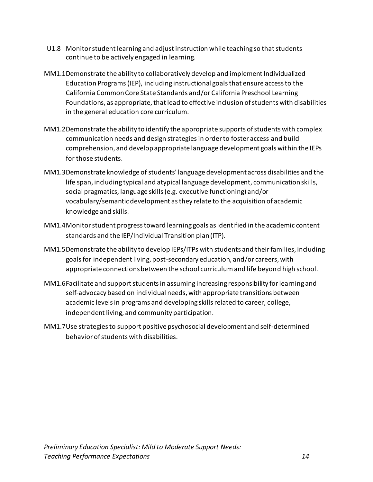- U1.8 Monitor student learning and adjust instruction while teaching so that students continue to be actively engaged in learning.
- MM1.1Demonstrate the ability to collaboratively develop and implement Individualized Education Programs (IEP), including instructional goals that ensure access to the California Common Core State Standards and/or California Preschool Learning Foundations, as appropriate, that lead to effective inclusion of students with disabilities in the general education core curriculum.
- MM1.2Demonstrate the ability to identify the appropriate supports of students with complex communication needs and design strategies in order to foster access and build comprehension, and develop appropriate language development goals within the IEPs for those students.
- MM1.3Demonstrate knowledge of students' language development across disabilities and the life span, including typical and atypical language development, communication skills, social pragmatics, language skills (e.g. executive functioning) and/or vocabulary/semantic development as they relate to the acquisition of academic knowledge and skills.
- MM1.4Monitor student progress toward learning goals as identified in the academic content standards and the IEP/Individual Transition plan (ITP).
- MM1.5Demonstrate the ability to develop IEPs/ITPs with students and their families, including goals for independent living, post-secondary education, and/or careers, with appropriate connections between the school curriculum and life beyond high school.
- MM1.6Facilitate and support students in assuming increasing responsibility for learning and self-advocacy based on individual needs, with appropriate transitions between academic levels in programs and developing skills related to career, college, independent living, and community participation.
- MM1.7Use strategies to support positive psychosocial development and self-determined behavior of students with disabilities.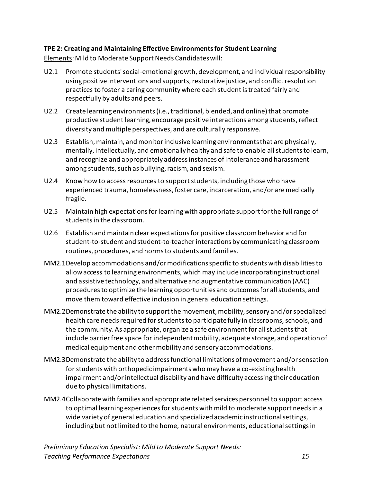#### <span id="page-19-0"></span>**TPE 2: Creating and Maintaining Effective Environments for Student Learning**

Elements: Mild to Moderate Support Needs Candidates will:

- U2.1 Promote students' social-emotional growth, development, and individual responsibility using positive interventions and supports, restorative justice, and conflict resolution practices to foster a caring community where each student is treated fairly and respectfully by adults and peers.
- U2.2 Create learning environments (i.e., traditional, blended, and online) that promote productive student learning, encourage positive interactions among students, reflect diversity and multiple perspectives, and are culturally responsive.
- U2.3 Establish, maintain, and monitor inclusive learning environments that are physically, mentally, intellectually, and emotionally healthy and safe to enable all students to learn, and recognize and appropriately address instances of intolerance and harassment among students, such as bullying, racism, and sexism.
- U2.4 Know how to access resources to support students, including those who have experienced trauma, homelessness, foster care, incarceration, and/or are medically fragile.
- U2.5 Maintain high expectations for learning with appropriate support for the full range of students in the classroom.
- U2.6 Establish and maintain clear expectations for positive classroom behavior and for student-to-student and student-to-teacher interactions by communicating classroom routines, procedures, and norms to students and families.
- MM2.1Develop accommodations and/ormodifications specific to students with disabilities to allow access to learning environments, which may include incorporating instructional and assistive technology, and alternative and augmentative communication (AAC) procedures to optimize the learning opportunities and outcomes for all students, and move them toward effective inclusion in general education settings.
- MM2.2Demonstrate the ability to support the movement, mobility, sensory and/orspecialized health care needs required for students to participate fully in classrooms, schools, and the community. As appropriate, organize a safe environment for all students that include barrier free space for independent mobility, adequate storage, and operation of medical equipment and other mobility and sensory accommodations.
- MM2.3Demonstrate the ability to address functional limitations of movement and/or sensation for students with orthopedic impairments who may have a co-existing health impairment and/or intellectual disability and have difficulty accessing their education due to physical limitations.
- MM2.4Collaborate with families and appropriate related services personnel to support access to optimal learning experiences for students with mild to moderate support needs in a wide variety of general education and specialized academic instructional settings, including but not limited to the home, natural environments, educational settings in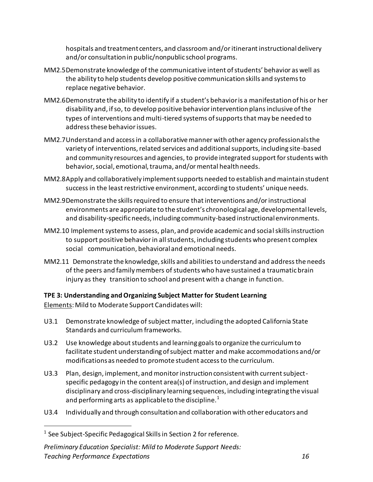hospitals and treatment centers, and classroom and/or itinerant instructional delivery and/or consultation in public/nonpublic school programs.

- MM2.5Demonstrate knowledge of the communicative intent of students' behavior as well as the ability to help students develop positive communication skills and systems to replace negative behavior.
- MM2.6Demonstrate the ability to identify if a student's behavior is a manifestation of his or her disability and, if so, to develop positive behavior intervention plans inclusive of the types of interventions and multi-tiered systems of supports that may be needed to address these behavior issues.
- MM2.7Understand and access in a collaborative manner with other agency professionals the variety of interventions, related services and additional supports, including site-based and community resources and agencies, to provide integrated support for students with behavior, social, emotional, trauma, and/or mental health needs.
- MM2.8Apply and collaboratively implement supports needed to establish and maintain student success in the least restrictive environment, according to students' unique needs.
- MM2.9Demonstrate the skills required to ensure that interventions and/or instructional environments are appropriate to the student's chronological age, developmental levels, and disability-specific needs, including community-based instructional environments.
- MM2.10 Implement systems to assess, plan, and provide academic and social skills instruction to support positive behavior in all students, including students who present complex social communication, behavioral and emotional needs.
- MM2.11 Demonstrate the knowledge, skills and abilities to understand and address the needs of the peers and family members of students who have sustained a traumatic brain injury as they transition to school and present with a change in function.

<span id="page-20-0"></span>**TPE 3: Understanding and Organizing Subject Matter for Student Learning**

Elements: Mild to Moderate Support Candidates will:

- U3.1 Demonstrate knowledge of subject matter, including the adopted California State Standards and curriculum frameworks.
- U3.2 Use knowledge about students and learning goals to organize the curriculum to facilitate student understanding of subject matter and make accommodations and/or modifications as needed to promote student access to the curriculum.
- U3.3 Plan, design, implement, and monitor instruction consistent with current subjectspecific pedagogy in the content area(s) of instruction, and design and implement disciplinary and cross-disciplinary learning sequences, including integrating the visual and performing arts as applicable to the discipline.<sup>1</sup>
- U3.4 Individually and through consultation and collaboration with other educators and

 $^1$  See Subject-Specific Pedagogical Skills in Section 2 for reference.

*Preliminary Education Specialist: Mild to Moderate Support Needs: Teaching Performance Expectations 16*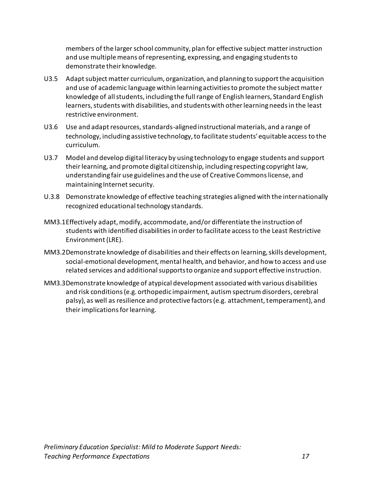members of the larger school community, plan for effective subject matter instruction and use multiple means of representing, expressing, and engaging students to demonstrate their knowledge.

- U3.5 Adapt subject matter curriculum, organization, and planning to support the acquisition and use of academic language within learning activities to promote the subject matter knowledge of all students, including the full range of English learners, Standard English learners, students with disabilities, and students with other learning needs in the least restrictive environment.
- U3.6 Use and adapt resources, standards-aligned instructional materials, and a range of technology, including assistive technology, to facilitate students' equitable access to the curriculum.
- U3.7 Model and develop digital literacy by using technology to engage students and support their learning, and promote digital citizenship, including respecting copyright law, understanding fair use guidelines and the use of Creative Commons license, and maintaining Internet security.
- U.3.8 Demonstrate knowledge of effective teaching strategies aligned with the internationally recognized educational technology standards.
- MM3.1Effectively adapt, modify, accommodate, and/or differentiate the instruction of students with identified disabilities in order to facilitate access to the Least Restrictive Environment (LRE).
- MM3.2Demonstrate knowledge of disabilities and their effects on learning, skills development, social-emotional development, mental health, and behavior, and how to access and use related services and additional supports to organize and support effective instruction.
- MM3.3Demonstrate knowledge of atypical development associated with various disabilities and risk conditions (e.g. orthopedic impairment, autism spectrum disorders, cerebral palsy), as well as resilience and protective factors (e.g. attachment, temperament), and their implications for learning.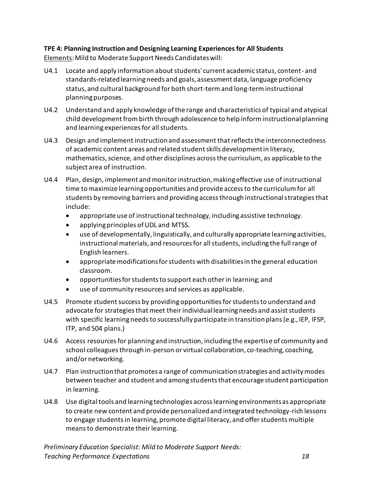### <span id="page-22-0"></span>**TPE 4: Planning Instruction and Designing Learning Experiences for All Students**

Elements: Mild to Moderate Support Needs Candidates will:

- U4.1 Locate and apply information about students' current academic status, content- and standards-related learning needs and goals, assessment data, language proficiency status, and cultural background for both short-term and long-term instructional planning purposes.
- U4.2 Understand and apply knowledge of the range and characteristics of typical and atypical child development from birth through adolescence to help inform instructional planning and learning experiences for all students.
- U4.3 Design and implement instruction and assessment that reflects the interconnectedness of academic content areas and related student skills development in literacy, mathematics, science, and other disciplines across the curriculum, as applicable to the subject area of instruction.
- U4.4 Plan, design, implement and monitor instruction, making effective use of instructional time to maximize learning opportunities and provide access to the curriculum for all students by removing barriers and providing access through instructional strategies that include:
	- appropriate use of instructional technology, including assistive technology.
	- applying principles of UDL and MTSS.
	- use of developmentally, linguistically, and culturally appropriate learning activities, instructional materials, and resources for all students, including the full range of English learners.
	- appropriate modifications for students with disabilities in the general education classroom.
	- opportunities for students to support each other in learning; and
	- use of community resources and services as applicable.
- U4.5 Promote student success by providing opportunities for students to understand and advocate for strategies that meet their individual learning needs and assist students with specific learning needs to successfully participate in transition plans (e.g., IEP, IFSP, ITP, and 504 plans.)
- U4.6 Access resources for planning and instruction, including the expertise of community and school colleagues through in-person or virtual collaboration, co-teaching, coaching, and/or networking.
- U4.7 Plan instruction that promotes a range of communication strategies and activity modes between teacher and student and among students that encourage student participation in learning.
- U4.8 Use digital tools and learning technologies across learning environments as appropriate to create new content and provide personalized and integrated technology-rich lessons to engage students in learning, promote digital literacy, and offer students multiple means to demonstrate their learning.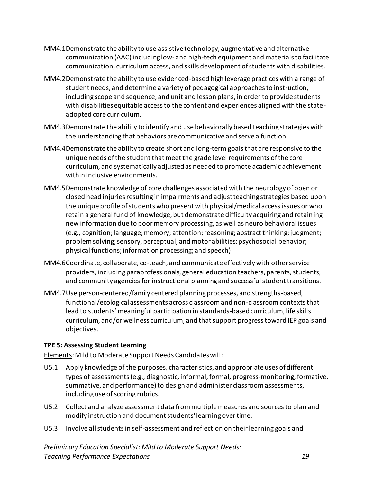- MM4.1Demonstrate the ability to use assistive technology, augmentative and alternative communication (AAC) including low- and high-tech equipment and materials to facilitate communication, curriculum access, and skills development of students with disabilities.
- MM4.2Demonstrate the ability to use evidenced-based high leverage practices with a range of student needs, and determine a variety of pedagogical approaches to instruction, including scope and sequence, and unit and lesson plans, in order to provide students with disabilities equitable access to the content and experiences aligned with the stateadopted core curriculum.
- MM4.3Demonstrate the ability to identify and use behaviorally based teaching strategies with the understanding that behaviors are communicative and serve a function.
- MM4.4Demonstrate the ability to create short and long-term goals that are responsive to the unique needs of the student that meet the grade level requirements of the core curriculum, and systematically adjusted as needed to promote academic achievement within inclusive environments.
- MM4.5Demonstrate knowledge of core challenges associated with the neurology of open or closed head injuries resulting in impairments and adjust teaching strategies based upon the unique profile of students who present with physical/medical access issues or who retain a general fund of knowledge, but demonstrate difficulty acquiring and retaining new information due to poor memory processing, as well as neuro behavioral issues (e.g., cognition; language; memory; attention; reasoning; abstract thinking; judgment; problem solving; sensory, perceptual, and motor abilities; psychosocial behavior; physical functions; information processing; and speech).
- MM4.6Coordinate, collaborate, co-teach, and communicate effectively with other service providers, including paraprofessionals, general education teachers, parents, students, and community agencies for instructional planning and successful student transitions.
- MM4.7Use person-centered/family centered planning processes, and strengths-based, functional/ecological assessments across classroom and non-classroom contexts that lead to students' meaningful participation in standards-based curriculum, life skills curriculum, and/or wellness curriculum, and that support progress toward IEP goals and objectives.

#### <span id="page-23-0"></span>**TPE 5: Assessing Student Learning**

Elements: Mild to Moderate Support Needs Candidates will:

- U5.1 Apply knowledge of the purposes, characteristics, and appropriate uses of different types of assessments (e.g., diagnostic, informal, formal, progress-monitoring, formative, summative, and performance) to design and administer classroom assessments, including use of scoring rubrics.
- U5.2 Collect and analyze assessment data from multiple measures and sources to plan and modify instruction and document students' learning over time.
- U5.3 Involve all students in self-assessment and reflection on their learning goals and

*Preliminary Education Specialist: Mild to Moderate Support Needs: Teaching Performance Expectations 19*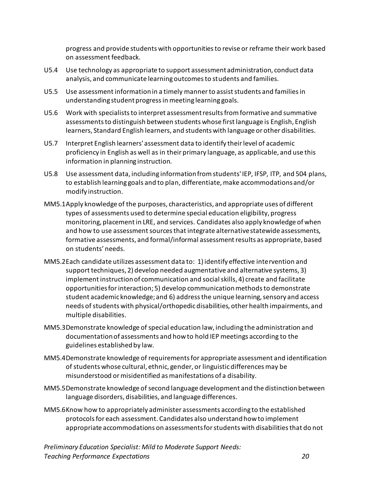progress and provide students with opportunities to revise or reframe their work based on assessment feedback.

- U5.4 Use technology as appropriate to support assessment administration, conduct data analysis, and communicate learning outcomes to students and families.
- U5.5 Use assessment information in a timely manner to assist students and families in understanding student progress in meeting learning goals.
- U5.6 Work with specialists to interpret assessment results from formative and summative assessments to distinguish between students whose first language is English, English learners, Standard English learners, and students with language or other disabilities.
- U5.7 Interpret English learners' assessment data to identify their level of academic proficiency in English as well as in their primary language, as applicable, and use this information in planning instruction.
- U5.8 Use assessment data, including information from students' IEP, IFSP, ITP, and 504 plans, to establish learning goals and to plan, differentiate, make accommodations and/or modify instruction.
- MM5.1Apply knowledge of the purposes, characteristics, and appropriate uses of different types of assessments used to determine special education eligibility, progress monitoring, placement in LRE, and services. Candidates also apply knowledge of when and how to use assessment sources that integrate alternative statewide assessments, formative assessments, and formal/informal assessment results as appropriate, based on students' needs.
- MM5.2Each candidate utilizes assessment data to: 1) identify effective intervention and support techniques, 2) develop needed augmentative and alternative systems, 3) implement instruction of communication and social skills, 4) create and facilitate opportunities for interaction; 5) develop communication methods to demonstrate student academic knowledge; and 6) address the unique learning, sensory and access needs of students with physical/orthopedic disabilities, other health impairments, and multiple disabilities.
- MM5.3Demonstrate knowledge of special education law, including the administration and documentation of assessments and how to hold IEP meetings according to the guidelines established by law.
- MM5.4Demonstrate knowledge of requirements for appropriate assessment and identification of students whose cultural, ethnic, gender, or linguistic differences may be misunderstood or misidentified as manifestations of a disability.
- MM5.5Demonstrate knowledge of second language development and the distinction between language disorders, disabilities, and language differences.
- MM5.6Know how to appropriately administer assessments according to the established protocols for each assessment. Candidates also understand how to implement appropriate accommodations on assessments for students with disabilities that do not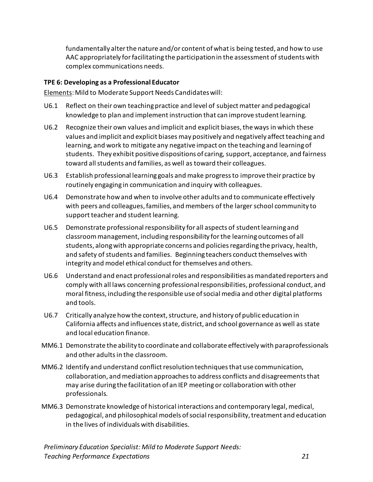fundamentally alter the nature and/or content of what is being tested, and how to use AAC appropriately for facilitating the participation in the assessment of students with complex communications needs.

#### <span id="page-25-0"></span>**TPE 6: Developing as a Professional Educator**

Elements: Mild to Moderate Support Needs Candidates will:

- U6.1 Reflect on their own teaching practice and level of subject matter and pedagogical knowledge to plan and implement instruction that can improve student learning.
- U6.2 Recognize their own values and implicit and explicit biases, the ways in which these values and implicit and explicit biases may positively and negatively affect teaching and learning, and work to mitigate any negative impact on the teaching and learning of students. They exhibit positive dispositions of caring, support, acceptance, and fairness toward all students and families, as well as toward their colleagues.
- U6.3 Establish professional learning goals and make progress to improve their practice by routinely engaging in communication and inquiry with colleagues.
- U6.4 Demonstrate how and when to involve other adults and to communicate effectively with peers and colleagues, families, and members of the larger school community to support teacher and student learning.
- U6.5 Demonstrate professional responsibility for all aspects of student learning and classroom management, including responsibility for the learning outcomes of all students, along with appropriate concerns and policies regarding the privacy, health, and safety of students and families. Beginning teachers conduct themselves with integrity and model ethical conduct for themselves and others.
- U6.6 Understand and enact professional roles and responsibilities as mandated reporters and comply with all laws concerning professional responsibilities, professional conduct, and moral fitness, including the responsible use of social media and other digital platforms and tools.
- U6.7 Critically analyze how the context, structure, and history of public education in California affects and influences state, district, and school governance as well as state and local education finance.
- MM6.1 Demonstrate the ability to coordinate and collaborate effectively with paraprofessionals and other adults in the classroom.
- MM6.2 Identify and understand conflict resolution techniques that use communication, collaboration, and mediation approaches to address conflicts and disagreements that may arise during the facilitation of an IEP meeting or collaboration with other professionals.
- MM6.3 Demonstrate knowledge of historical interactions and contemporary legal, medical, pedagogical, and philosophical models of social responsibility, treatment and education in the lives of individuals with disabilities.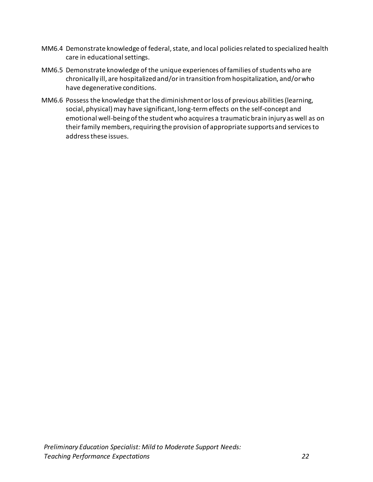- MM6.4 Demonstrate knowledge of federal, state, and local policies related to specialized health care in educational settings.
- MM6.5 Demonstrate knowledge of the unique experiences of families of students who are chronically ill, are hospitalized and/or in transition from hospitalization, and/or who have degenerative conditions.
- MM6.6 Possess the knowledge that the diminishment or loss of previous abilities (learning, social, physical) may have significant, long-term effects on the self-concept and emotional well-being of the student who acquires a traumatic brain injury as well as on their family members, requiring the provision of appropriate supports and services to address these issues.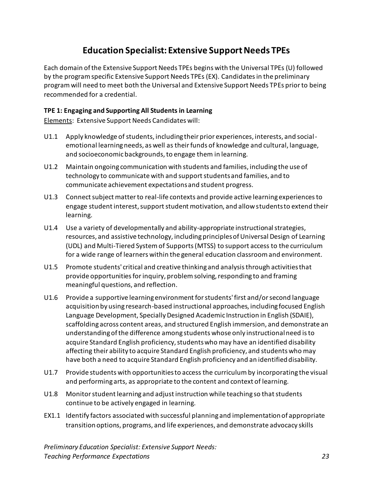# **Education Specialist: Extensive Support Needs TPEs**

<span id="page-27-0"></span>Each domain of the Extensive Support Needs TPEs begins with the Universal TPEs (U) followed by the program specific Extensive Support Needs TPEs (EX). Candidates in the preliminary program will need to meet both the Universal and Extensive Support Needs TPEs prior to being recommended for a credential.

#### <span id="page-27-1"></span>**TPE 1: Engaging and Supporting All Students in Learning**

Elements: Extensive Support Needs Candidates will:

- U1.1 Apply knowledge of students, including their prior experiences, interests, and socialemotional learning needs, as well as their funds of knowledge and cultural, language, and socioeconomic backgrounds, to engage them in learning.
- U1.2 Maintain ongoing communication with students and families, including the use of technology to communicate with and support students and families, and to communicate achievement expectations and student progress.
- U1.3 Connect subject matter to real-life contexts and provide active learning experiences to engage student interest, support student motivation, and allow students to extend their learning.
- U1.4 Use a variety of developmentally and ability-appropriate instructional strategies, resources, and assistive technology, including principles of Universal Design of Learning (UDL) and Multi-Tiered System of Supports (MTSS) to support access to the curriculum for a wide range of learners within the general education classroom and environment.
- U1.5 Promote students' critical and creative thinking and analysis through activities that provide opportunities for inquiry, problem solving, responding to and framing meaningful questions, and reflection.
- U1.6 Provide a supportive learning environment for students' first and/or second language acquisition by using research-based instructional approaches, including focused English Language Development, Specially Designed Academic Instruction in English (SDAIE), scaffolding across content areas, and structured English immersion, and demonstrate an understanding of the difference among students whose only instructional need is to acquire Standard English proficiency, students who may have an identified disability affecting their ability to acquire Standard English proficiency, and students who may have both a need to acquire Standard English proficiency and an identified disability.
- U1.7 Provide students with opportunities to access the curriculum by incorporating the visual and performing arts, as appropriate to the content and context of learning.
- U1.8 Monitor student learning and adjust instruction while teaching so that students continue to be actively engaged in learning.
- EX1.1 Identify factors associated with successful planning and implementation of appropriate transition options, programs, and life experiences, and demonstrate advocacy skills

*Preliminary Education Specialist: Extensive Support Needs: Teaching Performance Expectations 23*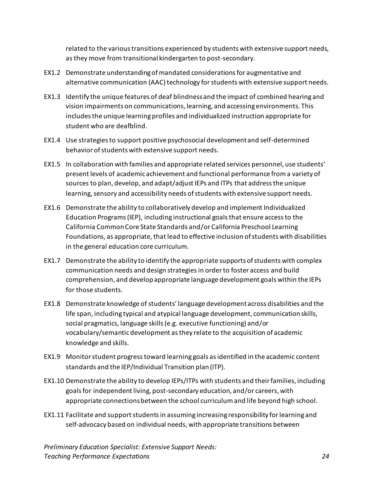related to the various transitions experienced by students with extensive support needs, as they move from transitional kindergarten to post-secondary.

- EX1.2 Demonstrate understanding of mandated considerations for augmentative and alternative communication (AAC) technology for students with extensive support needs.
- EX1.3 Identify the unique features of deaf blindness and the impact of combined hearing and vision impairments on communications, learning, and accessing environments. This includes the unique learning profiles and individualized instruction appropriate for student who are deafblind.
- EX1.4 Use strategies to support positive psychosocial development and self-determined behavior of students with extensive support needs.
- EX1.5 In collaboration with families and appropriate related services personnel, use students' present levels of academic achievement and functional performance from a variety of sources to plan, develop, and adapt/adjust IEPs and ITPs that address the unique learning, sensory and accessibility needs of students with extensive support needs.
- EX1.6 Demonstrate the ability to collaboratively develop and implement Individualized Education Programs (IEP), including instructional goals that ensure access to the California Common Core State Standards and/or California Preschool Learning Foundations, as appropriate, that lead to effective inclusion of students with disabilities in the general education core curriculum.
- EX1.7 Demonstrate the ability to identify the appropriate supports of students with complex communication needs and design strategies in order to foster access and build comprehension, and develop appropriate language development goals within the IEPs for those students.
- EX1.8 Demonstrate knowledge of students' language development across disabilities and the life span, including typical and atypical language development, communication skills, social pragmatics, language skills (e.g. executive functioning) and/or vocabulary/semantic development as they relate to the acquisition of academic knowledge and skills.
- EX1.9 Monitor student progress toward learning goals as identified in the academic content standards and the IEP/Individual Transition plan (ITP).
- EX1.10 Demonstrate the ability to develop IEPs/ITPs with students and their families, including goals for independent living, post-secondary education, and/or careers, with appropriate connections between the school curriculum and life beyond high school.
- EX1.11 Facilitate and support students in assuming increasing responsibility for learning and self-advocacy based on individual needs, with appropriate transitions between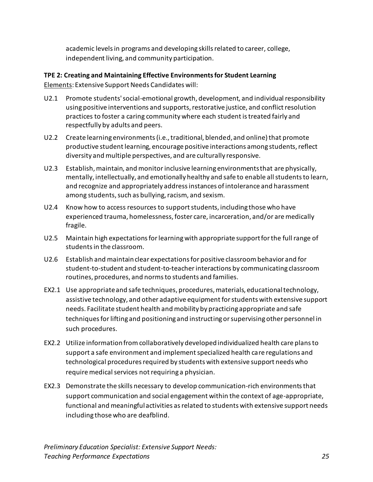academic levels in programs and developing skills related to career, college, independent living, and community participation.

#### <span id="page-29-0"></span>**TPE 2: Creating and Maintaining Effective Environments for Student Learning** Elements: Extensive Support Needs Candidates will:

- U2.1 Promote students' social-emotional growth, development, and individual responsibility using positive interventions and supports, restorative justice, and conflict resolution practices to foster a caring community where each student is treated fairly and respectfully by adults and peers.
- U2.2 Create learning environments (i.e., traditional, blended, and online) that promote productive student learning, encourage positive interactions among students, reflect diversity and multiple perspectives, and are culturally responsive.
- U2.3 Establish, maintain, and monitor inclusive learning environments that are physically, mentally, intellectually, and emotionally healthy and safe to enable all students to learn, and recognize and appropriately address instances of intolerance and harassment among students, such as bullying, racism, and sexism.
- U2.4 Know how to access resources to support students, including those who have experienced trauma, homelessness, foster care, incarceration, and/or are medically fragile.
- U2.5 Maintain high expectations for learning with appropriate support for the full range of students in the classroom.
- U2.6 Establish and maintain clear expectations for positive classroom behavior and for student-to-student and student-to-teacher interactions by communicating classroom routines, procedures, and norms to students and families.
- EX2.1 Use appropriate and safe techniques, procedures, materials, educational technology, assistive technology, and other adaptive equipment for students with extensive support needs. Facilitate student health and mobility by practicing appropriate and safe techniques for lifting and positioning and instructing or supervising other personnel in such procedures.
- EX2.2 Utilize information from collaboratively developed individualized health care plans to support a safe environment and implement specialized health care regulations and technological procedures required by students with extensive support needs who require medical services not requiring a physician.
- EX2.3 Demonstrate the skills necessary to develop communication-rich environments that support communication and social engagement within the context of age-appropriate, functional and meaningful activities as related to students with extensive support needs including those who are deafblind.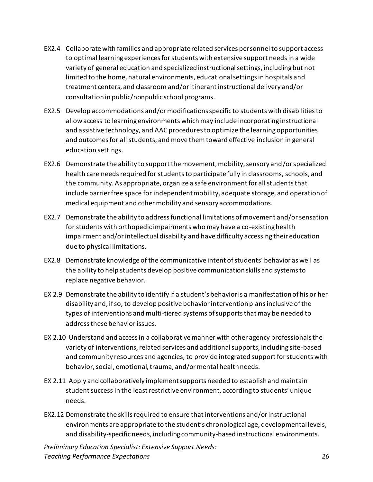- EX2.4 Collaborate with families and appropriate related services personnel to support access to optimal learning experiences forstudents with extensive support needs in a wide variety of general education and specialized instructional settings, includingbut not limited to the home, natural environments, educational settings in hospitals and treatment centers, and classroom and/or itinerant instructional delivery and/or consultation in public/nonpublic school programs.
- EX2.5 Develop accommodations and/ormodifications specific to students with disabilities to allow access to learning environments which may include incorporating instructional and assistive technology, and AAC procedures to optimize the learning opportunities and outcomes for all students, and move them toward effective inclusion in general education settings.
- EX2.6 Demonstrate the ability to support the movement, mobility, sensory and/orspecialized health care needs required for students to participate fully in classrooms, schools, and the community. As appropriate, organize a safe environment for all students that include barrier free space for independent mobility, adequate storage, and operation of medical equipment and other mobility and sensory accommodations.
- EX2.7 Demonstrate the ability to address functional limitations of movement and/or sensation for students with orthopedic impairments who may have a co-existing health impairment and/or intellectual disability and have difficulty accessing their education due to physical limitations.
- EX2.8 Demonstrate knowledge of the communicative intent of students' behavior as well as the ability to help students develop positive communication skills and systems to replace negative behavior.
- EX 2.9 Demonstrate the ability to identify if a student's behavior is a manifestation of his or her disability and, if so, to develop positive behavior intervention plans inclusive of the types of interventions and multi-tiered systems of supports that may be needed to address these behavior issues.
- EX 2.10 Understand and access in a collaborative manner with other agency professionals the variety of interventions, related services and additional supports, including site-based and community resources and agencies, to provide integrated support for students with behavior, social, emotional, trauma, and/or mental health needs.
- EX 2.11 Apply and collaboratively implement supports needed to establish and maintain student success in the least restrictive environment, according to students' unique needs.
- EX2.12 Demonstrate the skills required to ensure that interventions and/or instructional environments are appropriate to the student's chronological age, developmental levels, and disability-specific needs, including community-based instructional environments.

*Preliminary Education Specialist: Extensive Support Needs: Teaching Performance Expectations 26*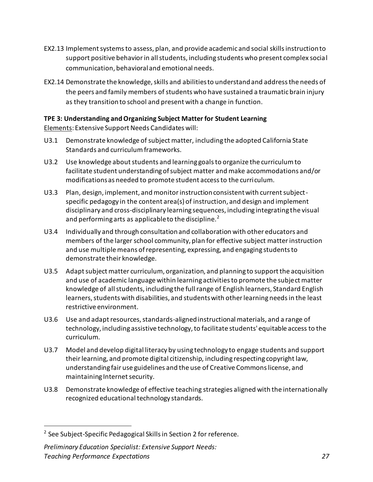- EX2.13 Implement systems to assess, plan, and provide academic and social skills instruction to support positive behavior in all students, including students who present complex social communication, behavioral and emotional needs.
- EX2.14 Demonstrate the knowledge, skills and abilities to understand and address the needs of the peers and family members of students who have sustained a traumatic brain injury as they transition to school and present with a change in function.

#### <span id="page-31-0"></span>**TPE 3: Understanding and Organizing Subject Matter for Student Learning**

Elements: Extensive Support Needs Candidates will:

- U3.1 Demonstrate knowledge of subject matter, including the adopted California State Standards and curriculum frameworks.
- U3.2 Use knowledge about students and learning goals to organize the curriculum to facilitate student understanding of subject matter and make accommodations and/or modifications as needed to promote student access to the curriculum.
- U3.3 Plan, design, implement, and monitor instruction consistent with current subjectspecific pedagogy in the content area(s) of instruction, and design and implement disciplinary and cross-disciplinary learning sequences, including integrating the visual and performing arts as applicable to the discipline.<sup>2</sup>
- U3.4 Individually and through consultation and collaboration with other educators and members of the larger school community, plan for effective subject matter instruction and use multiple means of representing, expressing, and engaging students to demonstrate their knowledge.
- U3.5 Adapt subject matter curriculum, organization, and planning to support the acquisition and use of academic language within learning activities to promote the subject matter knowledge of all students, including the full range of English learners, Standard English learners, students with disabilities, and students with other learning needs in the least restrictive environment.
- U3.6 Use and adapt resources, standards-aligned instructional materials, and a range of technology, including assistive technology, to facilitate students' equitable access to the curriculum.
- U3.7 Model and develop digital literacy by using technology to engage students and support their learning, and promote digital citizenship, including respecting copyright law, understanding fair use guidelines and the use of Creative Commons license, and maintaining Internet security.
- U3.8 Demonstrate knowledge of effective teaching strategies aligned with the internationally recognized educational technology standards.

<sup>&</sup>lt;sup>2</sup> See Subject-Specific Pedagogical Skills in Section 2 for reference.

*Preliminary Education Specialist: Extensive Support Needs: Teaching Performance Expectations 27*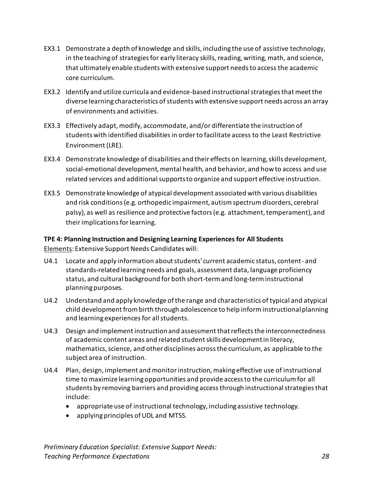- EX3.1 Demonstrate a depth of knowledge and skills, including the use of assistive technology, in the teaching of strategies for early literacy skills, reading, writing, math, and science, that ultimately enable students with extensive support needs to access the academic core curriculum.
- EX3.2 Identify and utilize curricula and evidence-based instructional strategies that meet the diverse learning characteristics of students with extensive support needs across an array of environments and activities.
- EX3.3 Effectively adapt, modify, accommodate, and/or differentiate the instruction of students with identified disabilities in order to facilitate access to the Least Restrictive Environment (LRE).
- EX3.4 Demonstrate knowledge of disabilities and their effects on learning, skills development, social-emotional development, mental health, and behavior, and how to access and use related services and additional supports to organize and support effective instruction.
- EX3.5 Demonstrate knowledge of atypical development associated with various disabilities and risk conditions (e.g. orthopedic impairment, autism spectrum disorders, cerebral palsy), as well as resilience and protective factors (e.g. attachment, temperament), and their implications for learning.

### <span id="page-32-0"></span>**TPE 4: Planning Instruction and Designing Learning Experiences for All Students** Elements: Extensive Support Needs Candidates will:

- U4.1 Locate and apply information about students' current academic status, content- and standards-related learning needs and goals, assessment data, language proficiency status, and cultural background for both short-term and long-term instructional planning purposes.
- U4.2 Understand and apply knowledge of the range and characteristics of typical and atypical child development from birth through adolescence to help inform instructional planning and learning experiences for all students.
- U4.3 Design and implement instruction and assessment that reflects the interconnectedness of academic content areas and related student skills development in literacy, mathematics, science, and other disciplines across the curriculum, as applicable to the subject area of instruction.
- U4.4 Plan, design, implement and monitor instruction, making effective use of instructional time to maximize learning opportunities and provide access to the curriculum for all students by removing barriers and providing access through instructional strategies that include:
	- appropriate use of instructional technology, including assistive technology.
	- applying principles of UDL and MTSS.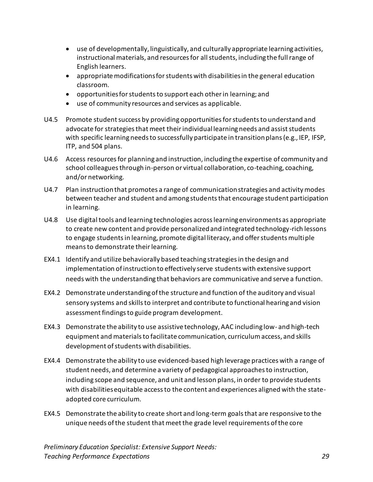- use of developmentally, linguistically, and culturally appropriate learning activities, instructional materials, and resources for all students, including the full range of English learners.
- appropriate modifications for students with disabilities in the general education classroom.
- opportunities for students to support each other in learning; and
- use of community resources and services as applicable.
- U4.5 Promote student success by providing opportunities for students to understand and advocate for strategies that meet their individual learning needs and assist students with specific learning needs to successfully participate in transition plans (e.g., IEP, IFSP, ITP, and 504 plans.
- U4.6 Access resources for planning and instruction, including the expertise of community and school colleagues through in-person or virtual collaboration, co-teaching, coaching, and/or networking.
- U4.7 Plan instruction that promotes a range of communication strategies and activity modes between teacher and student and among students that encourage student participation in learning.
- U4.8 Use digital tools and learning technologies across learning environments as appropriate to create new content and provide personalized and integrated technology-rich lessons to engage students in learning, promote digital literacy, and offer students multiple means to demonstrate their learning.
- EX4.1 Identify and utilize behaviorally based teaching strategies in the design and implementation of instruction to effectively serve students with extensive support needs with the understanding that behaviors are communicative and serve a function.
- EX4.2 Demonstrate understanding of the structure and function of the auditory and visual sensory systems and skills to interpret and contribute to functional hearing and vision assessment findings to guide program development.
- EX4.3 Demonstrate the ability to use assistive technology, AAC including low- and high-tech equipment and materials to facilitate communication, curriculum access, and skills development of students with disabilities.
- EX4.4 Demonstrate the ability to use evidenced-based high leverage practices with a range of student needs, and determine a variety of pedagogical approaches to instruction, including scope and sequence, and unit and lesson plans, in order to provide students with disabilities equitable access to the content and experiences aligned with the stateadopted core curriculum.
- EX4.5 Demonstrate the ability to create short and long-term goals that are responsive to the unique needs of the student that meet the grade level requirements of the core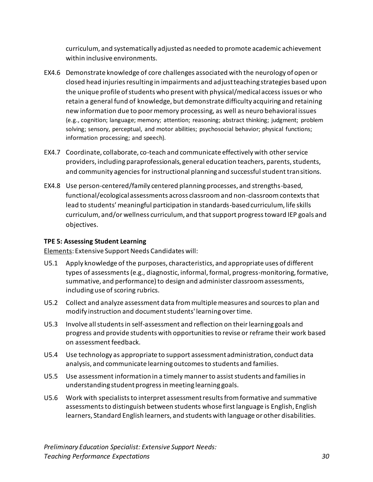curriculum, and systematically adjusted as needed to promote academic achievement within inclusive environments.

- EX4.6 Demonstrate knowledge of core challenges associated with the neurology of open or closed head injuries resulting in impairments and adjust teaching strategies based upon the unique profile of students who present with physical/medical access issues or who retain a general fund of knowledge, but demonstrate difficulty acquiring and retaining new information due to poor memory processing, as well as neuro behavioral issues (e.g., cognition; language; memory; attention; reasoning; abstract thinking; judgment; problem solving; sensory, perceptual, and motor abilities; psychosocial behavior; physical functions; information processing; and speech).
- EX4.7 Coordinate, collaborate, co-teach and communicate effectively with other service providers, including paraprofessionals, general education teachers, parents, students, and community agencies for instructional planning and successful student transitions.
- EX4.8 Use person-centered/family centered planning processes, and strengths-based, functional/ecological assessments across classroom and non-classroom contexts that lead to students' meaningful participation in standards-based curriculum, life skills curriculum, and/or wellness curriculum, and that support progress toward IEP goals and objectives.

#### <span id="page-34-0"></span>**TPE 5: Assessing Student Learning**

Elements: Extensive Support Needs Candidates will:

- U5.1 Apply knowledge of the purposes, characteristics, and appropriate uses of different types of assessments (e.g., diagnostic, informal, formal, progress-monitoring, formative, summative, and performance) to design and administer classroom assessments, including use of scoring rubrics.
- U5.2 Collect and analyze assessment data from multiple measures and sources to plan and modify instruction and document students' learning over time.
- U5.3 Involve all students in self-assessment and reflection on their learning goals and progress and provide students with opportunities to revise or reframe their work based on assessment feedback.
- U5.4 Use technology as appropriate to support assessment administration, conduct data analysis, and communicate learning outcomes to students and families.
- U5.5 Use assessment information in a timely manner to assist students and families in understanding student progress in meeting learning goals.
- U5.6 Work with specialists to interpret assessment results from formative and summative assessments to distinguish between students whose first language is English, English learners, Standard English learners, and students with language or other disabilities.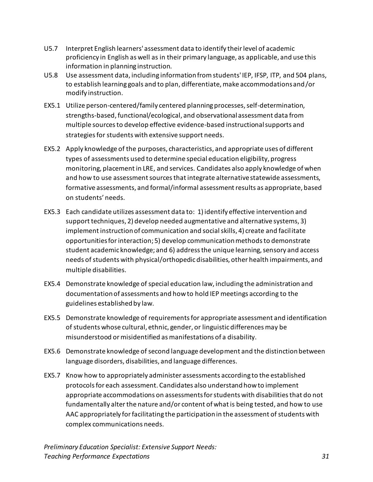- U5.7 Interpret English learners' assessment data to identify their level of academic proficiency in English as well as in their primary language, as applicable, and use this information in planning instruction.
- U5.8 Use assessment data, including information from students' IEP, IFSP, ITP, and 504 plans, to establish learning goals and to plan, differentiate, make accommodations and/or modify instruction.
- EX5.1 Utilize person-centered/family centered planning processes, self-determination, strengths-based, functional/ecological, and observational assessment data from multiple sources to develop effective evidence-based instructional supports and strategies for students with extensive support needs.
- EX5.2 Apply knowledge of the purposes, characteristics, and appropriate uses of different types of assessments used to determine special education eligibility, progress monitoring, placement in LRE, and services. Candidates also apply knowledge of when and how to use assessment sources that integrate alternative statewide assessments, formative assessments, and formal/informal assessment results as appropriate, based on students' needs.
- EX5.3 Each candidate utilizes assessment data to: 1) identify effective intervention and support techniques, 2) develop needed augmentative and alternative systems, 3) implement instruction of communication and social skills, 4) create and facilitate opportunities for interaction; 5) develop communication methods to demonstrate student academic knowledge; and 6) address the unique learning, sensory and access needs of students with physical/orthopedic disabilities, other health impairments, and multiple disabilities.
- EX5.4 Demonstrate knowledge of special education law, including the administration and documentation of assessments and how to hold IEP meetings according to the guidelines established by law.
- EX5.5 Demonstrate knowledge of requirements for appropriate assessment and identification of students whose cultural, ethnic, gender, or linguistic differences may be misunderstood or misidentified as manifestations of a disability.
- EX5.6 Demonstrate knowledge of second language development and the distinction between language disorders, disabilities, and language differences.
- EX5.7 Know how to appropriately administer assessments according to the established protocols for each assessment. Candidates also understand how to implement appropriate accommodations on assessments for students with disabilities that do not fundamentally alter the nature and/or content of what is being tested, and how to use AAC appropriately for facilitating the participation in the assessment of students with complex communications needs.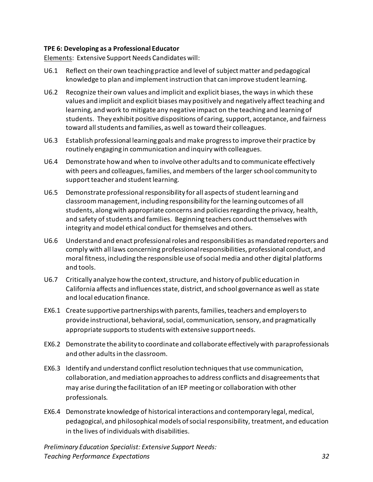#### <span id="page-36-0"></span>**TPE 6: Developing as a Professional Educator**

Elements: Extensive Support Needs Candidates will:

- U6.1 Reflect on their own teaching practice and level of subject matter and pedagogical knowledge to plan and implement instruction that can improve student learning.
- U6.2 Recognize their own values and implicit and explicit biases, the ways in which these values and implicit and explicit biases may positively and negatively affect teaching and learning, and work to mitigate any negative impact on the teaching and learning of students. They exhibit positive dispositions of caring, support, acceptance, and fairness toward all students and families, as well as toward their colleagues.
- U6.3 Establish professional learning goals and make progress to improve their practice by routinely engaging in communication and inquiry with colleagues.
- U6.4 Demonstrate how and when to involve other adults and to communicate effectively with peers and colleagues, families, and members of the larger school community to support teacher and student learning.
- U6.5 Demonstrate professional responsibility for all aspects of student learning and classroom management, including responsibility for the learning outcomes of all students, along with appropriate concerns and policies regarding the privacy, health, and safety of students and families. Beginning teachers conduct themselves with integrity and model ethical conduct for themselves and others.
- U6.6 Understand and enact professional roles and responsibilities as mandated reporters and comply with all laws concerning professional responsibilities, professional conduct, and moral fitness, including the responsible use of social media and other digital platforms and tools.
- U6.7 Critically analyze how the context, structure, and history of public education in California affects and influences state, district, and school governance as well as state and local education finance.
- EX6.1 Create supportive partnerships with parents, families, teachers and employers to provide instructional, behavioral, social, communication, sensory, and pragmatically appropriate supports to students with extensive support needs.
- EX6.2 Demonstrate the ability to coordinate and collaborate effectively with paraprofessionals and other adults in the classroom.
- EX6.3 Identify and understand conflict resolution techniques that use communication, collaboration, and mediation approaches to address conflicts and disagreements that may arise during the facilitation of an IEP meeting or collaboration with other professionals.
- EX6.4 Demonstrate knowledge of historical interactions and contemporary legal, medical, pedagogical, and philosophical models of social responsibility, treatment, and education in the lives of individuals with disabilities.

*Preliminary Education Specialist: Extensive Support Needs: Teaching Performance Expectations 32*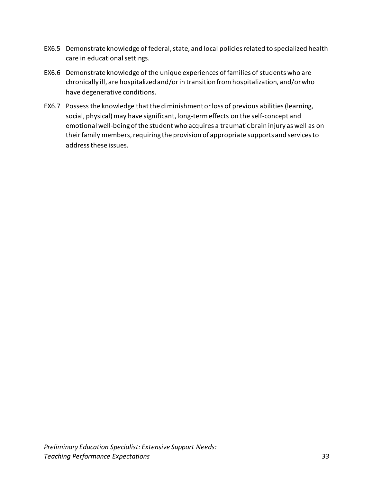- EX6.5 Demonstrate knowledge of federal, state, and local policies related to specialized health care in educational settings.
- EX6.6 Demonstrate knowledge of the unique experiences of families of students who are chronically ill, are hospitalized and/or in transition from hospitalization, and/or who have degenerative conditions.
- EX6.7 Possess the knowledge that the diminishment or loss of previous abilities (learning, social, physical) may have significant, long-term effects on the self-concept and emotional well-being of the student who acquires a traumatic brain injury as well as on their family members, requiring the provision of appropriate supports and services to address these issues.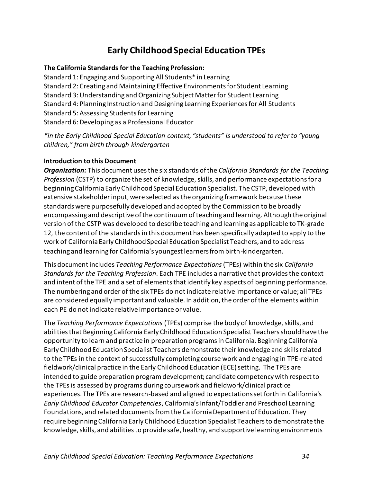# **Early Childhood Special Education TPEs**

#### <span id="page-38-1"></span><span id="page-38-0"></span>**The California Standards for the Teaching Profession:**

Standard 1: Engaging and Supporting All Students\* in Learning Standard 2: Creating and Maintaining Effective Environments for Student Learning Standard 3: Understanding and Organizing Subject Matter for Student Learning Standard 4: Planning Instruction and Designing Learning Experiences for All Students Standard 5: Assessing Students for Learning Standard 6: Developing as a Professional Educator

#### *\*in the Early Childhood Special Education context, "students" is understood to refer to "young children," from birth through kindergarten*

#### <span id="page-38-2"></span>**Introduction to this Document**

*Organization:* This document uses the six standards of the *California Standards for the Teaching Profession* (CSTP) to organize the set of knowledge, skills, and performance expectations for a beginning California Early Childhood Special Education Specialist. The CSTP, developed with extensive stakeholder input, were selected as the organizing framework because these standards were purposefully developed and adopted by the Commission to be broadly encompassing and descriptive of the continuum of teaching and learning. Although the original version of the CSTP was developed to describe teaching and learning as applicable to TK-grade 12, the content of the standards in this document has been specifically adapted to apply to the work of California Early Childhood Special Education Specialist Teachers, and to address teaching and learning for California's youngest learners from birth-kindergarten.

This document includes *Teaching Performance Expectations* (TPEs) within the six *California Standards for the Teaching Profession*. Each TPE includes a narrative that provides the context and intent of the TPE and a set of elements that identify key aspects of beginning performance. The numbering and order of the six TPEs do not indicate relative importance or value; all TPEs are considered equally important and valuable. In addition, the order of the elements within each PE do not indicate relative importance or value.

The *Teaching Performance Expectations* (TPEs) comprise the body of knowledge, skills, and abilities that Beginning California Early Childhood Education Specialist Teachers should have the opportunity to learn and practice in preparation programs in California. Beginning California Early Childhood Education Specialist Teachers demonstrate their knowledge and skills related to the TPEs in the context of successfully completing course work and engaging in TPE-related fieldwork/clinical practice in the Early Childhood Education (ECE) setting. The TPEs are intended to guide preparation program development; candidate competency with respect to the TPEs is assessed by programs during coursework and fieldwork/clinical practice experiences. The TPEs are research-based and aligned to expectations set forth in California's *Early Childhood Educator Competencies*, California's Infant/Toddler and Preschool Learning Foundations, and related documents from the California Department of Education. They require beginning California Early Childhood Education Specialist Teachers to demonstrate the knowledge, skills, and abilities to provide safe, healthy, and supportive learning environments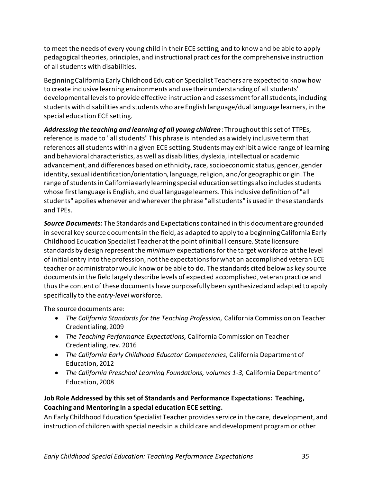to meet the needs of every young child in their ECE setting, and to know and be able to apply pedagogical theories, principles, and instructional practices for the comprehensive instruction of all students with disabilities.

Beginning California Early Childhood Education Specialist Teachers are expected to know how to create inclusive learning environments and use their understanding of all students' developmental levels to provide effective instruction and assessment for all students, including students with disabilities and students who are English language/dual language learners, in the special education ECE setting.

*Addressing the teaching and learning of all young children*: Throughout this set of TTPEs, reference is made to "all students" This phrase is intended as a widely inclusive term that references **all** students within a given ECE setting. Students may exhibit a wide range of learning and behavioral characteristics, as well as disabilities, dyslexia, intellectual or academic advancement, and differences based on ethnicity, race, socioeconomic status, gender, gender identity, sexual identification/orientation, language, religion, and/or geographic origin. The range of students in California early learning special education settings also includes students whose first language is English, and dual language learners. This inclusive definition of "all students" applies whenever and wherever the phrase "all students" is used in these standards and TPEs.

*Source Documents:* The Standards and Expectations contained in this document are grounded in several key source documents in the field, as adapted to apply to a beginning California Early Childhood Education Specialist Teacher at the point of initial licensure. State licensure standards by design represent the *minimum* expectations for the target workforce at the level of initial entry into the profession, not the expectations for what an accomplished veteran ECE teacher or administrator would know or be able to do. The standards cited below as key source documents in the field largely describe levels of expected accomplished, veteran practice and thus the content of these documents have purposefully been synthesized and adapted to apply specifically to the *entry-level* workforce.

The source documents are:

- *The California Standards for the Teaching Profession,* California Commission on Teacher Credentialing, 2009
- *The Teaching Performance Expectations,* California Commission on Teacher Credentialing, rev. 2016
- *The California Early Childhood Educator Competencies,* California Department of Education, 2012
- *The California Preschool Learning Foundations, volumes 1-3, California Department of* Education, 2008

#### <span id="page-39-0"></span>**Job Role Addressed by this set of Standards and Performance Expectations: Teaching, Coaching and Mentoring in a special education ECE setting.**

An Early Childhood Education Specialist Teacher provides service in the care, development, and instruction of children with special needs in a child care and development program or other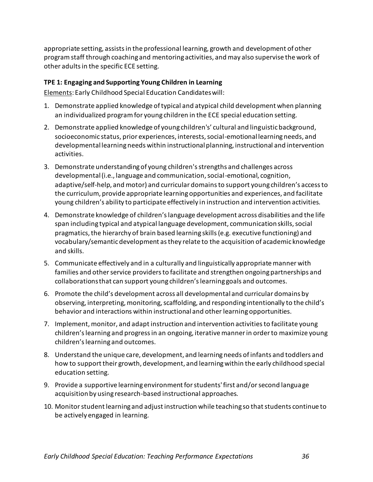appropriate setting, assists in the professional learning, growth and development of other program staff through coaching and mentoring activities, and may also supervise the work of other adults in the specific ECE setting.

#### <span id="page-40-0"></span>**TPE 1: Engaging and Supporting Young Children in Learning**

Elements: Early Childhood Special Education Candidates will:

- 1. Demonstrate applied knowledge of typical and atypical child development when planning an individualized program for young children in the ECE special education setting.
- 2. Demonstrate applied knowledge of young children's' cultural and linguistic background, socioeconomic status, prior experiences, interests, social-emotional learning needs, and developmental learning needs within instructional planning, instructional and intervention activities.
- 3. Demonstrate understanding of young children's strengths and challenges across developmental (i.e., language and communication, social-emotional, cognition, adaptive/self-help, and motor) and curricular domains to support young children's access to the curriculum, provide appropriate learning opportunities and experiences, and facilitate young children's ability to participate effectively in instruction and intervention activities.
- 4. Demonstrate knowledge of children's language development across disabilities and the life span including typical and atypical language development, communication skills, social pragmatics, the hierarchy of brain based learning skills (e.g. executive functioning) and vocabulary/semantic development as they relate to the acquisition of academic knowledge and skills.
- 5. Communicate effectively and in a culturally and linguistically appropriate manner with families and other service providers to facilitate and strengthen ongoing partnerships and collaborations that can support young children's learning goals and outcomes.
- 6. Promote the child's development across all developmental and curricular domainsby observing, interpreting, monitoring, scaffolding, and responding intentionally to the child's behavior and interactions within instructional and other learning opportunities.
- 7. Implement, monitor, and adapt instruction and intervention activitiesto facilitate young children's learning and progress in an ongoing, iterative manner in order to maximize young children's learning and outcomes.
- 8. Understand the unique care, development, and learning needs of infants and toddlers and how to support their growth, development, and learning within the early childhood special education setting.
- 9. Provide a supportive learning environment for students' first and/or second language acquisition by using research-based instructional approaches.
- 10. Monitor student learning and adjust instruction while teaching so that students continue to be actively engaged in learning.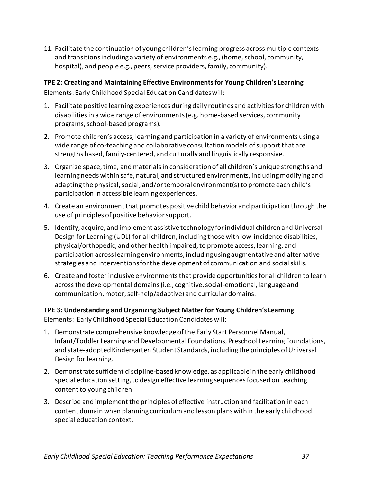11. Facilitate the continuation of young children's learning progress across multiple contexts and transitions including a variety of environments e.g., (home, school, community, hospital), and people e.g., peers, service providers, family, community).

#### <span id="page-41-0"></span>**TPE 2: Creating and Maintaining Effective Environmentsfor Young Children's Learning**  Elements: Early Childhood Special Education Candidateswill:

- 1. Facilitate positive learning experiences during daily routines and activities for children with disabilities in a wide range of environments (e.g. home-based services, community programs, school-based programs).
- 2. Promote children's access, learning and participation in a variety of environments using a wide range of co-teaching and collaborative consultation models of support that are strengths based, family-centered, and culturally and linguistically responsive.
- 3. Organize space, time, and materials in consideration of all children's unique strengths and learning needs within safe, natural, and structured environments, including modifying and adapting the physical, social, and/or temporal environment(s) to promote each child's participation in accessible learning experiences.
- 4. Create an environment that promotes positive child behavior and participation through the use of principles of positive behavior support.
- 5. Identify, acquire, and implement assistive technology for individual children and Universal Design for Learning (UDL) for all children, including those with low-incidence disabilities, physical/orthopedic, and other health impaired, to promote access, learning, and participation across learning environments, including using augmentative and alternative strategies and interventions for the development of communication and social skills.
- 6. Create and foster inclusive environments that provide opportunities for all children to learn across the developmental domains (i.e., cognitive, social-emotional, language and communication, motor,self-help/adaptive) and curricular domains.

#### <span id="page-41-1"></span>**TPE 3: Understanding andOrganizing Subject Matter for Young Children's Learning**  Elements: Early Childhood Special Education Candidates will:

- 1. Demonstrate comprehensive knowledge ofthe Early Start Personnel Manual, Infant/Toddler Learning and Developmental Foundations, Preschool Learning Foundations, and state-adopted Kindergarten Student Standards, including the principles of Universal Design for learning.
- 2. Demonstrate sufficient discipline-based knowledge, as applicable in the early childhood special education setting, to design effective learning sequences focused on teaching content to young children
- 3. Describe and implement the principles of effective instruction and facilitation in each content domain when planning curriculum and lesson plans within the early childhood special education context.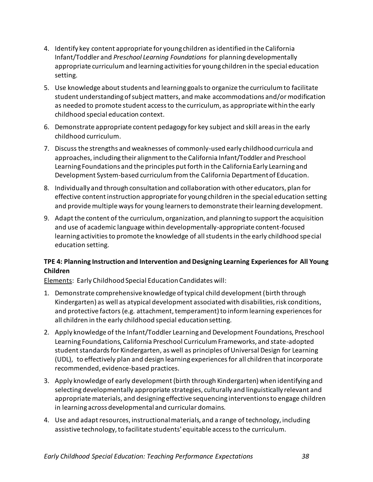- 4. Identify key content appropriate for young children as identified in the California Infant/Toddler and *Preschool Learning Foundations* for planning developmentally appropriate curriculum and learning activities for young children in the special education setting.
- 5. Use knowledge about students and learning goals to organize the curriculum to facilitate student understanding of subject matters, and make accommodations and/or modification as needed to promote student access to the curriculum, as appropriate within the early childhood special education context.
- 6. Demonstrate appropriate content pedagogy for key subject and skill areas in the early childhood curriculum.
- 7. Discuss the strengths and weaknesses of commonly-used early childhood curricula and approaches, including their alignment to the California Infant/Toddler and Preschool Learning Foundations and the principles put forth in the California Early Learning and Development System-based curriculum from the California Department of Education.
- 8. Individually and through consultation and collaboration with other educators, plan for effective content instruction appropriate for young children in the special education setting and provide multiple ways for young learners to demonstrate their learning development.
- 9. Adapt the content of the curriculum, organization, and planning to support the acquisition and use of academic language within developmentally-appropriate content-focused learning activities to promote the knowledge of all students in the early childhood special education setting.

### <span id="page-42-0"></span>**TPE 4: Planning Instruction and Intervention and Designing Learning Experiences for All Young Children**

Elements: Early Childhood Special Education Candidates will:

- 1. Demonstrate comprehensive knowledge of typical child development (birth through Kindergarten) as well as atypical development associated with disabilities, risk conditions, and protective factors (e.g. attachment, temperament) to inform learning experiencesfor all children in the early childhood special education setting.
- 2. Apply knowledge of the Infant/Toddler Learning and Development Foundations, Preschool Learning Foundations, California Preschool Curriculum Frameworks, and state-adopted student standards for Kindergarten, as well as principles of Universal Design for Learning (UDL), to effectively plan and design learning experiencesfor all children that incorporate recommended, evidence-based practices.
- 3. Apply knowledge of early development (birth through Kindergarten) when identifying and selecting developmentally appropriate strategies, culturally and linguistically relevant and appropriate materials, and designing effective sequencing interventionsto engage children in learning across developmental and curricular domains.
- 4. Use and adapt resources, instructional materials, and a range of technology, including assistive technology, to facilitate students' equitable access to the curriculum.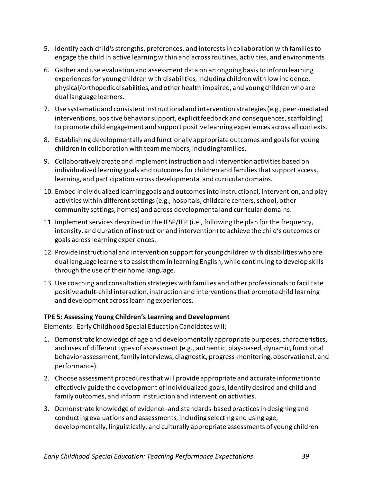- 5. Identify each child'sstrengths, preferences, and interestsin collaboration with familiesto engage the child in active learning within and across routines, activities, and environments.
- 6. Gather and use evaluation and assessment data on an ongoing basisto inform learning experiences for young children with disabilities, including children with low incidence, physical/orthopedic disabilities, and other health impaired, and young children who are dual language learners.
- 7. Use systematic and consistent instructional and intervention strategies (e.g., peer-mediated interventions, positive behavior support, explicit feedback and consequences, scaffolding) to promote child engagement and support positive learning experiences across all contexts.
- 8. Establishing developmentally and functionally appropriate outcomes and goals for young children in collaboration with team members, including families.
- 9. Collaboratively create and implement instruction and intervention activities based on individualized learning goals and outcomes for children and families that support access, learning, and participation across developmental and curricular domains.
- 10. Embed individualized learning goals and outcomesinto instructional, intervention, and play activities within different settings (e.g., hospitals, childcare centers, school, other community settings, homes) and across developmental and curricular domains.
- 11. Implement services described in the IFSP/IEP (i.e., following the plan for the frequency, intensity, and duration of instruction and intervention) to achieve the child's outcomes or goals across learning experiences.
- 12. Provide instructional and intervention support for young children with disabilities who are dual language learners to assist them in learning English, while continuing to develop skills through the use of their home language.
- 13. Use coaching and consultation strategies with families and other professionals to facilitate positive adult-child interaction, instruction and interventions that promote child learning and development acrosslearning experiences.

#### <span id="page-43-0"></span>**TPE 5: Assessing Young Children's Learning and Development**

Elements: Early Childhood Special Education Candidates will:

- 1. Demonstrate knowledge of age and developmentally appropriate purposes, characteristics, and uses of different types of assessment (e.g., authentic, play-based, dynamic, functional behavior assessment, family interviews, diagnostic, progress-monitoring, observational, and performance).
- 2. Choose assessment procedures that will provide appropriate and accurate information to effectively guide the development ofindividualized goals, identify desired and child and family outcomes, and inform instruction and intervention activities.
- 3. Demonstrate knowledge of evidence -and standards-based practicesin designing and conducting evaluations and assessments, including selecting and using age, developmentally, linguistically, and culturally appropriate assessments of young children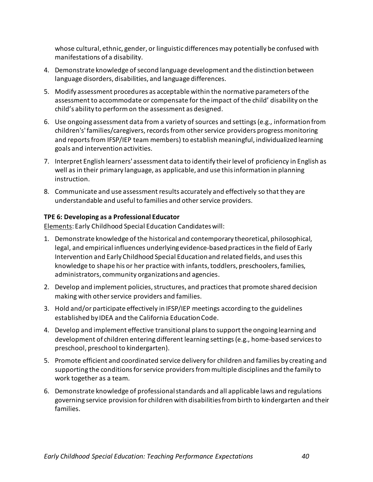whose cultural, ethnic, gender, or linguistic differences may potentially be confused with manifestations of a disability.

- 4. Demonstrate knowledge of second language development and the distinction between language disorders, disabilities, and language differences.
- 5. Modify assessment procedures as acceptable within the normative parameters of the assessment to accommodate or compensate for the impact of the child' disability on the child's ability to perform on the assessment as designed.
- 6. Use ongoing assessment data from a variety of sources and settings (e.g., information from children's' families/caregivers, records from other service providers progress monitoring and reports from IFSP/IEP team members) to establish meaningful, individualized learning goals and intervention activities.
- 7. Interpret English learners' assessment data to identify their level of proficiency in English as well as in their primary language, as applicable, and use this information in planning instruction.
- 8. Communicate and use assessment results accurately and effectively so that they are understandable and useful to families and other service providers.

#### <span id="page-44-0"></span>**TPE 6: Developing as a Professional Educator**

Elements: Early Childhood Special Education Candidateswill:

- 1. Demonstrate knowledge of the historical and contemporary theoretical, philosophical, legal, and empirical influences underlying evidence-based practices in the field of Early Intervention and Early Childhood Special Education and related fields, and uses this knowledge to shape his or her practice with infants, toddlers, preschoolers, families, administrators, community organizations and agencies.
- 2. Develop and implement policies, structures, and practices that promote shared decision making with other service providers and families.
- 3. Hold and/or participate effectively in IFSP/IEP meetings according to the guidelines established by IDEA and the California Education Code.
- 4. Develop and implement effective transitional plansto support the ongoing learning and development of children entering different learning settings(e.g., home-based servicesto preschool, preschool to kindergarten).
- 5. Promote efficient and coordinated service delivery for children and families by creating and supporting the conditions for service providers from multiple disciplines and the family to work together as a team.
- 6. Demonstrate knowledge of professionalstandards and all applicable laws and regulations governing service provision for children with disabilities from birth to kindergarten and their families.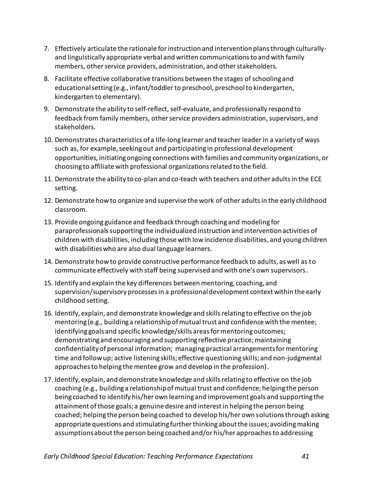- 7. Effectively articulate the rationale forinstruction and intervention plansthrough culturallyand linguistically appropriate verbal and written communicationsto and with family members, other service providers, administration, and other stakeholders.
- 8. Facilitate effective collaborative transitions between the stages of schooling and educational setting (e.g., infant/toddlerto preschool, preschoolto kindergarten, kindergarten to elementary).
- 9. Demonstrate the ability to self-reflect, self-evaluate, and professionally respond to feedback from family members, other service providers administration, supervisors, and stakeholders.
- 10. Demonstrates characteristics of a life-long learner and teacher leaderin a variety of ways such as, for example, seeking out and participating in professional development opportunities, initiating ongoing connections with families and community organizations, or choosing to affiliate with professional organizationsrelated to the field.
- 11. Demonstrate the ability to co-plan and co-teach with teachers and other adults in the ECE setting.
- 12. Demonstrate how to organize and supervise the work of other adults in the early childhood classroom.
- 13. Provide ongoing guidance and feedback through coaching and modeling for paraprofessionals supporting the individualized instruction and intervention activities of children with disabilities, including those with lowincidence disabilities, and young children with disabilities who are also dual language learners.
- 14. Demonstrate how to provide constructive performance feedback to adults, as well as to communicate effectively with staff being supervised and with one's own supervisors.
- 15. Identify and explain the key differences between mentoring, coaching, and supervision/supervisory processes in a professional development context within the early childhood setting.
- 16. Identify, explain, and demonstrate knowledge and skills relating to effective on the job mentoring (e.g., building a relationship of mutual trust and confidence with the mentee; identifying goals and specific knowledge/skills areas for mentoring outcomes; demonstrating and encouraging and supporting reflective practice; maintaining confidentiality of personal information; managing practical arrangements for mentoring time and follow up; active listening skills; effective questioning skills; and non-judgmental approaches to helping the mentee grow and develop in the profession).
- 17. Identify, explain, and demonstrate knowledge and skills relating to effective on the job coaching (e.g., building a relationship of mutual trust and confidence; helping the person being coached to identify his/her own learning and improvement goals and supporting the attainment of those goals; a genuine desire and interest in helping the person being coached; helping the person being coached to develop his/her own solutions through asking appropriate questions and stimulating further thinking about the issues; avoiding making assumptions about the person being coached and/or his/her approaches to addressing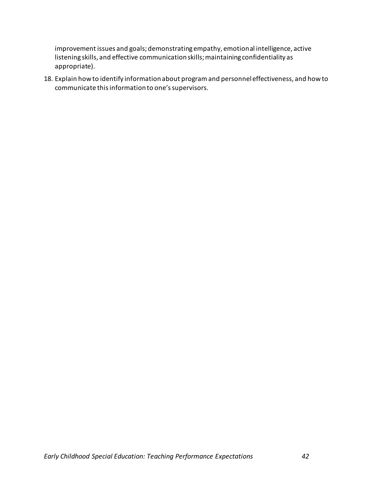improvement issues and goals; demonstrating empathy, emotional intelligence, active listening skills, and effective communication skills; maintaining confidentiality as appropriate).

18. Explain how to identify information about program and personnel effectiveness, and how to communicate this information to one's supervisors.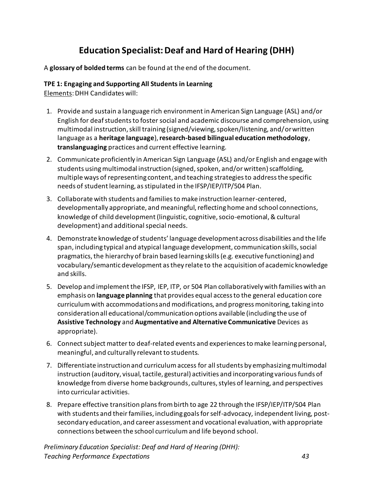# **Education Specialist: Deaf and Hard of Hearing (DHH)**

<span id="page-47-0"></span>A **glossary of bolded terms** can be found at the end of the document.

#### <span id="page-47-1"></span>**TPE 1: Engaging and Supporting All Students in Learning**

Elements: DHH Candidates will:

- 1. Provide and sustain a language rich environment in American Sign Language (ASL) and/or English for deaf students to foster social and academic discourse and comprehension, using multimodal instruction, skill training (signed/viewing, spoken/listening, and/or written language as a **heritage language**), **research-based bilingual education methodology**, **translanguaging** practices and current effective learning.
- 2. Communicate proficiently in American Sign Language (ASL) and/or English and engage with students using multimodal instruction (signed, spoken, and/or written) scaffolding, multiple ways of representing content, and teaching strategies to address the specific needs of student learning, as stipulated in the IFSP/IEP/ITP/504 Plan.
- 3. Collaborate with students and families to make instruction learner-centered, developmentally appropriate, and meaningful, reflecting home and school connections, knowledge of child development (linguistic, cognitive, socio-emotional, & cultural development) and additional special needs.
- 4. Demonstrate knowledge of students' language development across disabilities and the life span, including typical and atypical language development, communication skills, social pragmatics, the hierarchy of brain based learning skills (e.g. executive functioning) and vocabulary/semantic development as they relate to the acquisition of academic knowledge and skills.
- 5. Develop and implement the IFSP, IEP, ITP, or 504 Plan collaboratively with families with an emphasis on **language planning** that provides equal access to the general education core curriculum with accommodations and modifications, and progress monitoring, taking into consideration all educational/communication options available (including the use of **Assistive Technology** and **Augmentative and Alternative Communicative** Devices as appropriate).
- 6. Connect subject matter to deaf-related events and experiences to make learning personal, meaningful, and culturally relevant to students.
- 7. Differentiate instruction and curriculum access for all students by emphasizing multimodal instruction (auditory, visual, tactile, gestural) activities and incorporating various funds of knowledge from diverse home backgrounds, cultures, styles of learning, and perspectives into curricular activities.
- 8. Prepare effective transition plans from birth to age 22 through the IFSP/IEP/ITP/504 Plan with students and their families, including goals for self-advocacy, independent living, postsecondary education, and career assessment and vocational evaluation, with appropriate connections between the school curriculum and life beyond school.

*Preliminary Education Specialist: Deaf and Hard of Hearing (DHH): Teaching Performance Expectations 43*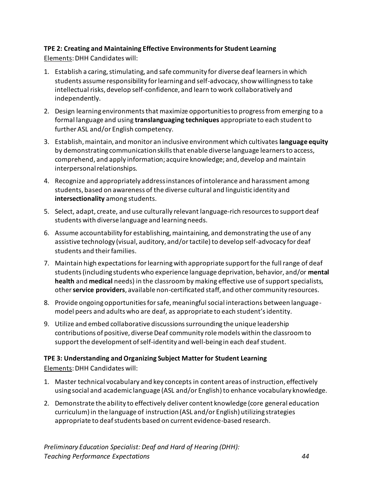### <span id="page-48-0"></span>**TPE 2: Creating and Maintaining Effective Environments for Student Learning**

Elements: DHH Candidates will:

- 1. Establish a caring, stimulating, and safe community for diverse deaf learners in which students assume responsibility for learning and self-advocacy, show willingness to take intellectual risks, develop self-confidence, and learn to work collaboratively and independently.
- 2. Design learning environments that maximize opportunities to progress from emerging to a formal language and using **translanguaging techniques** appropriate to each student to further ASL and/or English competency.
- 3. Establish, maintain, and monitor an inclusive environment which cultivates **language equity** by demonstrating communication skills that enable diverse language learners to access, comprehend, and apply information; acquire knowledge; and, develop and maintain interpersonal relationships.
- 4. Recognize and appropriately address instances of intolerance and harassment among students, based on awareness of the diverse cultural and linguistic identity and **intersectionality** among students.
- 5. Select, adapt, create, and use culturally relevant language-rich resources to support deaf students with diverse language and learning needs.
- 6. Assume accountability for establishing, maintaining, and demonstrating the use of any assistive technology (visual, auditory, and/or tactile) to develop self-advocacy for deaf students and their families.
- 7. Maintain high expectations for learning with appropriate support for the full range of deaf students (including students who experience language deprivation, behavior, and/or **mental health** and **medical** needs) in the classroom by making effective use of support specialists, other **service providers**, available non-certificated staff, and other community resources.
- 8. Provide ongoing opportunities for safe, meaningful social interactions between languagemodel peers and adults who are deaf, as appropriate to each student's identity.
- 9. Utilize and embed collaborative discussions surrounding the unique leadership contributions of positive, diverse Deaf community role models within the classroom to support the development of self-identity and well-being in each deaf student.

### <span id="page-48-1"></span>**TPE 3: Understanding and Organizing Subject Matter for Student Learning**

Elements: DHH Candidates will:

- 1. Master technical vocabulary and key concepts in content areas of instruction, effectively using social and academic language (ASL and/or English) to enhance vocabulary knowledge.
- 2. Demonstrate the ability to effectively deliver content knowledge (core general education curriculum) in the language of instruction (ASL and/or English) utilizing strategies appropriate to deaf students based on current evidence-based research.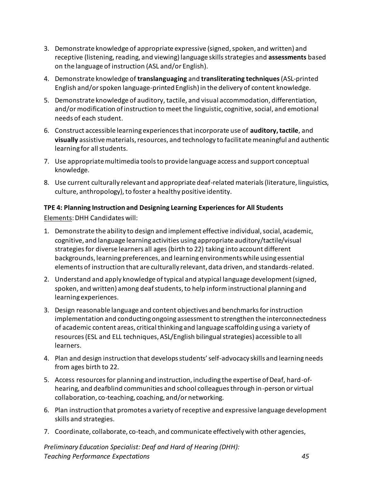- 3. Demonstrate knowledge of appropriate expressive (signed, spoken, and written) and receptive (listening, reading, and viewing) language skills strategies and **assessments** based on the language of instruction (ASL and/or English).
- 4. Demonstrate knowledge of **translanguaging** and **transliterating techniques**(ASL-printed English and/or spoken language-printed English) in the delivery of content knowledge.
- 5. Demonstrate knowledge of auditory, tactile, and visual accommodation, differentiation, and/or modification of instruction to meet the linguistic, cognitive, social, and emotional needs of each student.
- 6. Construct accessible learning experiences that incorporate use of **auditory, tactile**, and **visually** assistive materials, resources, and technology to facilitate meaningful and authentic learning for all students.
- 7. Use appropriate multimedia tools to provide language access and support conceptual knowledge.
- 8. Use current culturally relevant and appropriate deaf-related materials (literature, linguistics, culture, anthropology), to foster a healthy positive identity.

### <span id="page-49-0"></span>**TPE 4: Planning Instruction and Designing Learning Experiences for All Students**

Elements: DHH Candidates will:

- 1. Demonstrate the ability to design and implement effective individual, social, academic, cognitive, and language learning activities using appropriate auditory/tactile/visual strategies for diverse learners all ages (birth to 22) taking into account different backgrounds, learning preferences, and learning environments while using essential elements of instruction that are culturally relevant, data driven, and standards-related.
- 2. Understand and apply knowledge of typical and atypical language development (signed, spoken, and written) among deaf students, to help inform instructional planning and learning experiences.
- 3. Design reasonable language and content objectives and benchmarks for instruction implementation and conducting ongoing assessment to strengthen the interconnectedness of academic content areas, critical thinking and language scaffolding using a variety of resources (ESL and ELL techniques, ASL/English bilingual strategies) accessible to all learners.
- 4. Plan and design instruction that develops students' self-advocacy skills and learning needs from ages birth to 22.
- 5. Access resources for planning and instruction, including the expertise of Deaf, hard-ofhearing, and deafblind communities and school colleagues through in-person or virtual collaboration, co-teaching, coaching, and/or networking.
- 6. Plan instruction that promotes a variety of receptive and expressive language development skills and strategies.
- 7. Coordinate, collaborate, co-teach, and communicate effectively with other agencies,

*Preliminary Education Specialist: Deaf and Hard of Hearing (DHH): Teaching Performance Expectations 45*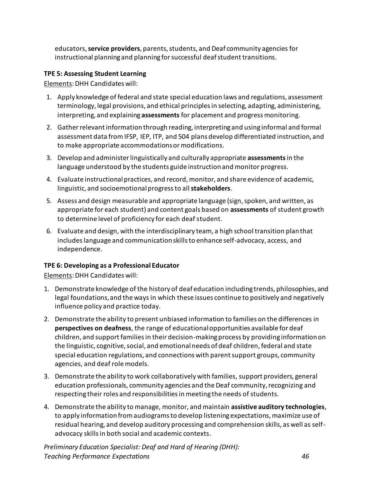educators, **service providers**, parents, students, and Deaf community agencies for instructional planning and planning for successful deaf student transitions.

#### <span id="page-50-0"></span>**TPE 5: Assessing Student Learning**

Elements: DHH Candidates will:

- 1. Apply knowledge of federal and state special education laws and regulations, assessment terminology, legal provisions, and ethical principles in selecting, adapting, administering, interpreting, and explaining **assessments** for placement and progress monitoring.
- 2. Gather relevant information through reading, interpreting and using informal and formal assessment data from IFSP, IEP, ITP, and 504 plans develop differentiated instruction, and to make appropriate accommodations or modifications.
- 3. Develop and administer linguistically and culturally appropriate **assessments**in the language understood by the students guide instruction and monitor progress.
- 4. Evaluate instructional practices, and record, monitor, and share evidence of academic, linguistic, and socioemotional progress to all **stakeholders**.
- 5. Assess and design measurable and appropriate language (sign, spoken, and written, as appropriate for each student) and content goals based on **assessments** of student growth to determine level of proficiency for each deaf student.
- 6. Evaluate and design, with the interdisciplinary team, a high school transition plan that includes language and communication skills to enhance self-advocacy, access, and independence.

#### <span id="page-50-1"></span>**TPE 6: Developing as a Professional Educator**

Elements: DHH Candidates will:

- 1. Demonstrate knowledge of the history of deaf education including trends, philosophies, and legal foundations, and the ways in which these issues continue to positively and negatively influence policy and practice today.
- 2. Demonstrate the ability to present unbiased information to families on the differences in **perspectives on deafness**, the range of educational opportunities available for deaf children, and support families in their decision-making process by providing information on the linguistic, cognitive, social, and emotional needs of deaf children, federal and state special education regulations, and connections with parent support groups, community agencies, and deaf role models.
- 3. Demonstrate the ability to work collaboratively with families, support providers, general education professionals, community agencies and the Deaf community, recognizing and respecting their roles and responsibilities in meeting the needs of students.
- 4. Demonstrate the ability to manage, monitor, and maintain **assistive auditory technologies**, to apply information from audiograms to develop listening expectations, maximize use of residual hearing, and develop auditory processing and comprehension skills, as well as selfadvocacy skills in both social and academic contexts.

*Preliminary Education Specialist: Deaf and Hard of Hearing (DHH): Teaching Performance Expectations 46*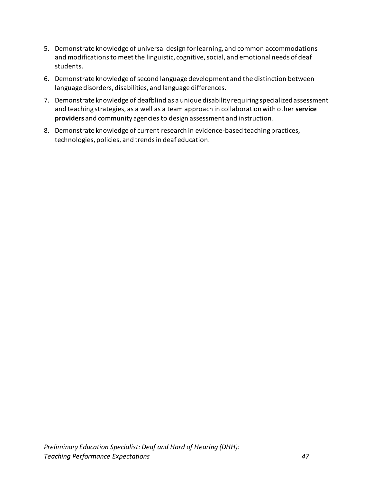- 5. Demonstrate knowledge of universal design for learning, and common accommodations and modifications to meet the linguistic, cognitive, social, and emotional needs of deaf students.
- 6. Demonstrate knowledge of second language development and the distinction between language disorders, disabilities, and language differences.
- 7. Demonstrate knowledge of deafblind as a unique disability requiring specialized assessment and teaching strategies, as a well as a team approach in collaboration with other **service providers** and community agencies to design assessment and instruction.
- 8. Demonstrate knowledge of current research in evidence-based teaching practices, technologies, policies, and trends in deaf education.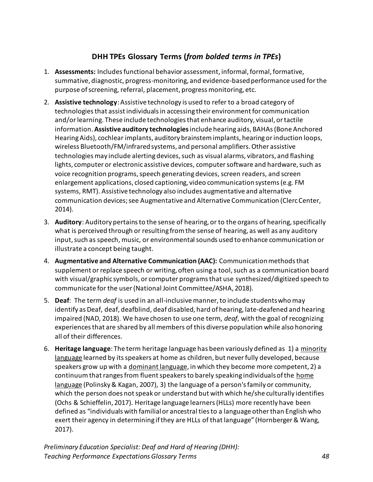### **DHH TPEs Glossary Terms (***from bolded terms in TPEs***)**

- <span id="page-52-0"></span>1. **Assessments:** Includes functional behavior assessment, informal, formal, formative, summative, diagnostic, progress-monitoring, and evidence-based performance used for the purpose of screening, referral, placement, progress monitoring, etc.
- 2. **Assistive technology**: Assistive technology is used to refer to a broad category of technologies that assist individuals in accessing their environment for communication and/or learning. These include technologies that enhance auditory, visual, or tactile information. **Assistive auditory technologies**include hearing aids, BAHAs (Bone Anchored Hearing Aids), cochlear implants, auditory brainstem implants, hearing or induction loops, wireless Bluetooth/FM/infrared systems, and personal amplifiers. Other assistive technologies may include alerting devices, such as visual alarms, vibrators, and flashing lights, computer or electronic assistive devices, computer software and hardware, such as voice recognition programs, speech generating devices, screen readers, and screen enlargement applications, closed captioning, video communication systems (e.g. FM systems, RMT). Assistive technology also includes augmentative and alternative communication devices; see Augmentative and Alternative Communication (Clerc Center, 2014).
- 3. **Auditory**: Auditory pertains to the sense of hearing, or to the organs of hearing, specifically what is perceived through or resulting from the sense of hearing, as well as any auditory input, such as speech, music, or environmental sounds used to enhance communication or illustrate a concept being taught.
- 4. **Augmentative and Alternative Communication (AAC):** Communication methods that supplement or replace speech or writing, often using a tool, such as a communication board with visual/graphic symbols, or computer programs that use synthesized/digitized speech to communicate for the user (National Joint Committee/ASHA, 2018).
- 5. **Deaf**: The term *deaf* is used in an all-inclusive manner, to include students who may identify as Deaf, deaf, deafblind, deaf disabled, hard of hearing, late-deafened and hearing impaired (NAD, 2018). We have chosen to use one term, *deaf*, with the goal of recognizing experiences that are shared by all members of this diverse population while also honoring all of their differences.
- 6. **Heritage language**: The term heritage language has been variously defined as 1) a [minority](https://en.wikipedia.org/wiki/Minority_language)  [language](https://en.wikipedia.org/wiki/Minority_language) learned by its speakers at home as children, but never fully developed, because speakers grow up with a [dominant language,](https://en.wikipedia.org/wiki/Dominant_language) in which they become more competent, 2) a continuum that ranges from fluent speakers to barely speaking individuals of th[e](https://en.wikipedia.org/wiki/Home_language) [home](https://en.wikipedia.org/wiki/Home_language)  [language](https://en.wikipedia.org/wiki/Home_language) (Polinsky & Kagan, 2007), 3) the language of a person's family or community, which the person does not speak or understand but with which he/she culturally identifies (Ochs & Schieffelin, 2017). Heritage language learners (HLLs) more recently have been defined as "individuals with familial or ancestral ties to a language other than English who exert their agency in determining if they are HLLs of that language" (Hornberger & Wang, 2017).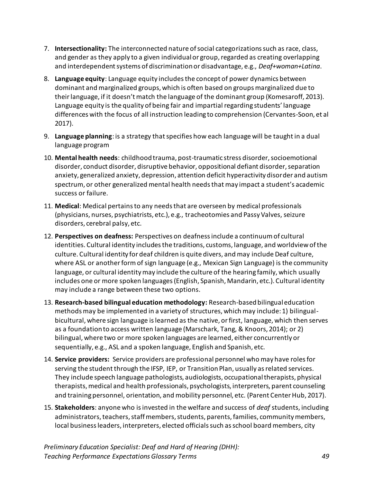- 7. **Intersectionality:** The interconnected nature of social categorizations such as race, class, and gender as they apply to a given individual or group, regarded as creating overlapping and interdependent systems of discrimination or disadvantage, e.g., *Deaf+woman+Latina*.
- 8. **Language equity**: Language equity includes the concept of power dynamics between dominant and marginalized groups, which is often based on groups marginalized due to their language, if it doesn't match the language of the dominant group (Komesaroff, 2013). Language equity is the quality of being fair and impartial regarding students' language differences with the focus of all instruction leading to comprehension (Cervantes-Soon, et al 2017).
- 9. **Language planning**: is a strategy that specifies how each language will be taught in a dual language program
- 10. **Mental health needs**: childhood trauma, post-traumatic stress disorder, socioemotional disorder, conduct disorder, disruptive behavior, oppositional defiant disorder, separation anxiety, generalized anxiety, depression, attention deficit hyperactivity disorder and autism spectrum, or other generalized mental health needs that may impact a student's academic success or failure.
- 11. **Medical**: Medical pertains to any needs that are overseen by medical professionals (physicians, nurses, psychiatrists, etc.), e.g., tracheotomies and Passy Valves, seizure disorders, cerebral palsy, etc.
- 12. **Perspectives on deafness:** Perspectives on deafness include a continuum of cultural identities. Cultural identity includes the traditions, customs, language, and worldview of the culture. Cultural identity for deaf children is quite divers, and may include Deaf culture, where ASL or another form of sign language (e.g., Mexican Sign Language) is the community language, or cultural identity may include the culture of the hearing family, which usually includes one or more spoken languages (English, Spanish, Mandarin, etc.). Cultural identity may include a range between these two options.
- 13. **Research-based bilingual education methodology:** Research-based bilingual education methods may be implemented in a variety of structures, which may include: 1) bilingualbicultural, where sign languag[e](https://en.wikipedia.org/wiki/Sign_language) is learned as the native, or first, language, which then serves as a foundation to access written language (Marschark, Tang, & Knoors, 2014); or 2) bilingual, where two or more spoken languages are learned, either concurrently or sequentially, e.g., ASL and a spoken language, English and Spanish, etc.
- 14. **Service providers:** Service providers are professional personnel who may have roles for serving the student through the IFSP, IEP, or Transition Plan, usually as related services. They include speech language pathologists, audiologists, occupational therapists, physical therapists, medical and health professionals, psychologists, interpreters, parent counseling and training personnel, orientation, and mobility personnel, etc. (Parent Center Hub, 2017).
- 15. **Stakeholders**: anyone who is invested in the welfare and success of *deaf* students, including administrators, teachers, staff members, students, parents, families, community members, local business leaders, interpreters, elected officials such as school board members, city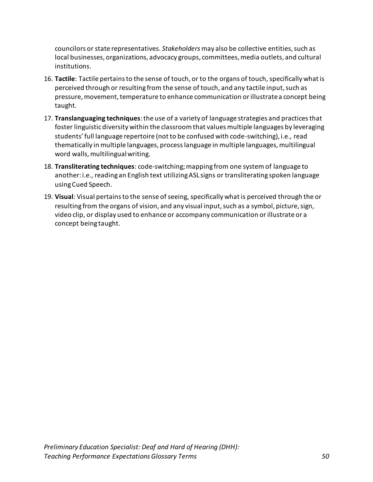councilors or state representatives. *Stakeholders* may also be collective entities, such as local businesses, organizations, advocacy groups, committees, media outlets, and cultural institutions.

- 16. **Tactile**: Tactile pertains to the sense of touch, or to the organs of touch, specifically what is perceived through or resulting from the sense of touch, and any tactile input, such as pressure, movement, temperature to enhance communication or illustrate a concept being taught.
- 17. **Translanguaging techniques**: the use of a variety of language strategies and practices that foster linguistic diversity within the classroom that values multiple languages by leveraging students' full language repertoire (not to be confused with code-switching), i.e., read thematically in multiple languages, process language in multiple languages, multilingual word walls, multilingual writing.
- 18. **Transliterating techniques**: code-switching; mapping from one system of language to another: i.e., reading an English text utilizing ASL signs or transliterating spoken language using Cued Speech.
- 19. **Visual**: Visual pertains to the sense of seeing, specifically what is perceived through the or resulting from the organs of vision, and any visual input, such as a symbol, picture, sign, video clip, or display used to enhance or accompany communication or illustrate or a concept being taught.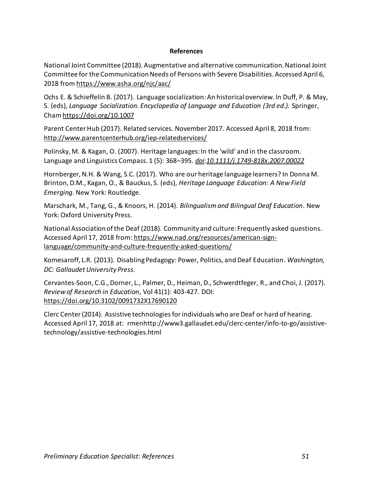#### **References**

<span id="page-55-0"></span>National Joint Committee (2018). Augmentative and alternative communication. National Joint Committee for the Communication Needs of Persons with Severe Disabilities. Accessed April 6, 2018 from <https://www.asha.org/njc/aac/>

Ochs E. & Schieffelin B. (2017). Language socialization: An historical overview. In Duff, P. & May, S. (eds), *Language Socialization. Encyclopedia of Language and Education (3rd ed.).* Springer, Cha[m https://doi.org/10.1007](https://doi.org/10.1007)

Parent Center Hub (2017). Related services. November 2017. Accessed April 8, 2018 from[:](http://www.parentcenterhub.org/iep-relatedservices/) <http://www.parentcenterhub.org/iep-relatedservices/>

Polinsky, M. & Kagan, O. (2007). Heritage languages: In the 'wild' and in the classroom. Language and Linguistics Compass. 1 (5): 368–395. *[doi](https://en.wikipedia.org/wiki/Digital_object_identifier)*:*[10.1111/j.1749-818x.2007.00022](https://doi.org/10.1111%2Fj.1749-818x.2007.00022.x)*

Hornberger, N.H. & Wang, S.C. (2017). Who are our heritage language learners? In Donna M. Brinton, D.M., Kagan, O., & Bauckus, S. (eds), *Heritage Language Education: A New Field Emerging*. New York: Routledge.

Marschark, M., Tang, G., & Knoors, H. (2014). *Bilingualism and Bilingual Deaf Education*. New York: Oxford University Press.

National Association of the Deaf (2018). Community and culture: Frequently asked questions. Accessed April 17, 2018 from[:](https://www.nad.org/resources/american-sign-language/community-and-culture-frequently-asked-questions/) [https://www.nad.org/resources/american-sign](https://www.nad.org/resources/american-sign-language/community-and-culture-frequently-asked-questions/)[language/community-and-culture-frequently-asked-questions/](https://www.nad.org/resources/american-sign-language/community-and-culture-frequently-asked-questions/)

Komesaroff, L.R. (2013). Disabling Pedagogy: Power, Politics, and Deaf Education*. Washington, DC: Gallaudet University Press.*

Cervantes-Soon, C.G., Dorner, L., Palmer, D., Heiman, D., Schwerdtfeger, R., and Choi, J. (2017). *Review of Research in Education*, Vol 41(1): 403-427. DOI[:](https://doi.org/10.3102%2F0091732X17690120) [https://doi.org/10.3102/0091732X17690120](https://doi.org/10.3102%2F0091732X17690120)

Clerc Center (2014). Assistive technologies for individuals who are Deaf or hard of hearing. Accessed April 17, 2018 at[: r](http://www3.gallaudet.edu/clerc-center/info-to-go/assistive-technology/assistive-technologies.html)menhttp://www3.gallaudet.edu/clerc-center/info-to-go/assistivetechnology/assistive-technologies.html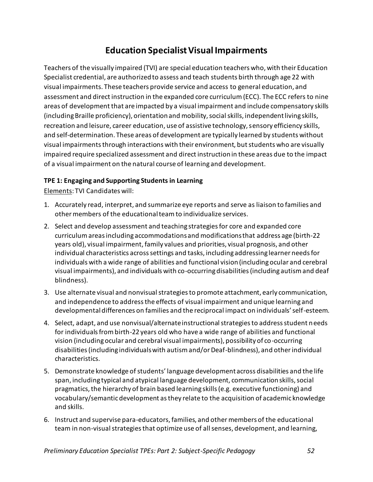# **Education Specialist Visual Impairments**

<span id="page-56-0"></span>Teachers of the visually impaired (TVI) are special education teachers who, with their Education Specialist credential, are authorized to assess and teach students birth through age 22 with visual impairments. These teachers provide service and access to general education, and assessment and direct instruction in the expanded core curriculum (ECC). The ECC refers to nine areas of development that are impacted by a visual impairment and include compensatory skills (including Braille proficiency), orientation and mobility, social skills, independent living skills, recreation and leisure, career education, use of assistive technology, sensory efficiency skills, and self-determination. These areas of development are typically learned by students without visual impairments through interactions with their environment, but students who are visually impaired require specialized assessment and direct instruction in these areas due to the impact of a visual impairment on the natural course of learning and development.

### <span id="page-56-1"></span>**TPE 1: Engaging and Supporting Students in Learning**

- 1. Accurately read, interpret, and summarize eye reports and serve as liaison to families and other members of the educational team to individualize services.
- 2. Select and develop assessment and teaching strategies for core and expanded core curriculum areas including accommodations and modifications that address age (birth-22 years old), visual impairment, family values and priorities, visual prognosis, and other individual characteristics across settings and tasks, including addressing learner needs for individuals with a wide range of abilities and functional vision (including ocular and cerebral visual impairments), and individuals with co-occurring disabilities (including autism and deaf blindness).
- 3. Use alternate visual and nonvisual strategies to promote attachment, early communication, and independence to address the effects of visual impairment and unique learning and developmental differences on families and the reciprocal impact on individuals' self-esteem.
- 4. Select, adapt, and use nonvisual/alternate instructional strategies to address student needs for individuals from birth-22 years old who have a wide range of abilities and functional vision (including ocular and cerebral visual impairments), possibility of co-occurring disabilities (including individuals with autism and/or Deaf-blindness), and other individual characteristics.
- 5. Demonstrate knowledge of students' language development across disabilities and the life span, including typical and atypical language development, communication skills, social pragmatics, the hierarchy of brain based learning skills (e.g. executive functioning) and vocabulary/semantic development as they relate to the acquisition of academic knowledge and skills.
- 6. Instruct and supervise para-educators, families, and other members of the educational team in non-visual strategies that optimize use of all senses, development, and learning,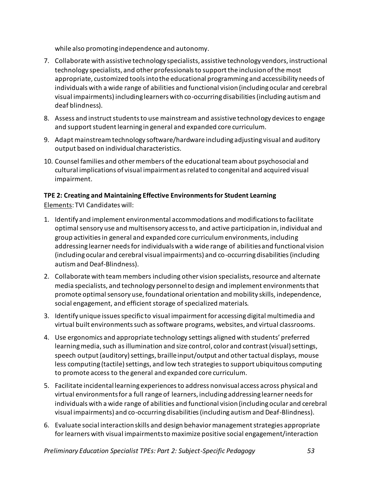while also promoting independence and autonomy.

- 7. Collaborate with assistive technology specialists, assistive technology vendors, instructional technology specialists, and other professionals to support the inclusion of the most appropriate, customized tools into the educational programming and accessibility needs of individuals with a wide range of abilities and functional vision (including ocular and cerebral visual impairments) including learners with co-occurring disabilities (including autism and deaf blindness).
- 8. Assess and instruct students to use mainstream and assistive technology devices to engage and support student learning in general and expanded core curriculum.
- 9. Adapt mainstream technology software/hardware including adjusting visual and auditory output based on individual characteristics.
- 10. Counsel families and other members of the educational team about psychosocial and cultural implications of visual impairment as related to congenital and acquired visual impairment.

# <span id="page-57-0"></span>**TPE 2: Creating and Maintaining Effective Environments for Student Learning**

- 1. Identify and implement environmental accommodations and modifications to facilitate optimal sensory use and multisensory access to, and active participation in, individual and group activities in general and expanded core curriculum environments, including addressing learner needs for individuals with a wide range of abilities and functional vision (including ocular and cerebral visual impairments) and co-occurring disabilities (including autism and Deaf-Blindness).
- 2. Collaborate with team members including other vision specialists, resource and alternate media specialists, and technology personnel to design and implement environments that promote optimal sensory use, foundational orientation and mobility skills, independence, social engagement, and efficient storage of specialized materials.
- 3. Identify unique issues specific to visual impairment for accessing digital multimedia and virtual built environments such as software programs, websites, and virtual classrooms.
- 4. Use ergonomics and appropriate technology settings aligned with students' preferred learning media, such as illumination and size control, color and contrast (visual) settings, speech output (auditory) settings, braille input/output and other tactual displays, mouse less computing (tactile) settings, and low tech strategies to support ubiquitous computing to promote access to the general and expanded core curriculum.
- 5. Facilitate incidental learning experiences to address nonvisual access across physical and virtual environments for a full range of learners, including addressing learner needs for individuals with a wide range of abilities and functional vision (including ocular and cerebral visual impairments) and co-occurring disabilities (including autism and Deaf-Blindness).
- 6. Evaluate social interaction skills and design behavior management strategies appropriate for learners with visual impairments to maximize positive social engagement/interaction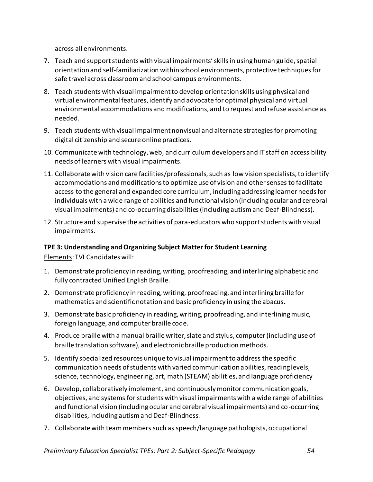across all environments.

- 7. Teach and support students with visual impairments' skills in using human guide, spatial orientation and self-familiarization within school environments, protective techniques for safe travel across classroom and school campus environments.
- 8. Teach students with visual impairment to develop orientation skills using physical and virtual environmental features, identify and advocate for optimal physical and virtual environmental accommodations and modifications, and to request and refuse assistance as needed.
- 9. Teach students with visual impairment nonvisual and alternate strategies for promoting digital citizenship and secure online practices.
- 10. Communicate with technology, web, and curriculum developers and IT staff on accessibility needs of learners with visual impairments.
- 11. Collaborate with vision care facilities/professionals, such as low vision specialists, to identify accommodations and modifications to optimize use of vision and other senses to facilitate access to the general and expanded core curriculum, including addressing learner needs for individuals with a wide range of abilities and functional vision (including ocular and cerebral visual impairments) and co-occurring disabilities (including autism and Deaf-Blindness).
- 12. Structure and supervise the activities of para-educators who support students with visual impairments.

#### <span id="page-58-0"></span>**TPE 3: Understanding and Organizing Subject Matter for Student Learning**

- 1. Demonstrate proficiency in reading, writing, proofreading, and interlining alphabetic and fully contracted Unified English Braille.
- 2. Demonstrate proficiency in reading, writing, proofreading, and interlining braille for mathematics and scientific notation and basic proficiency in using the abacus.
- 3. Demonstrate basic proficiency in reading, writing, proofreading, and interlining music, foreign language, and computer braille code.
- 4. Produce braille with a manual braille writer, slate and stylus, computer (including use of braille translation software), and electronic braille production methods.
- 5. Identify specialized resources unique to visual impairment to address the specific communication needs of students with varied communication abilities, reading levels, science, technology, engineering, art, math (STEAM) abilities, and language proficiency
- 6. Develop, collaboratively implement, and continuously monitor communication goals, objectives, and systems for students with visual impairments with a wide range of abilities and functional vision (including ocular and cerebral visual impairments) and co-occurring disabilities, including autism and Deaf-Blindness.
- 7. Collaborate with team members such as speech/language pathologists, occupational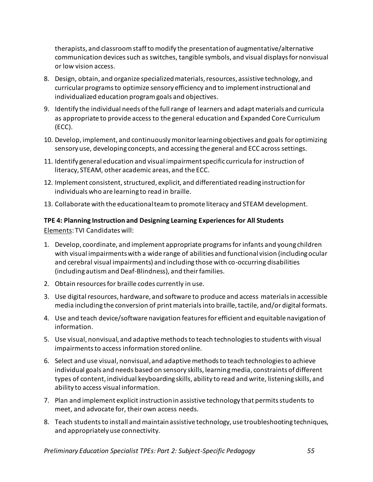therapists, and classroom staff to modify the presentation of augmentative/alternative communication devices such as switches, tangible symbols, and visual displays for nonvisual or low vision access.

- 8. Design, obtain, and organize specialized materials, resources, assistive technology, and curricular programs to optimize sensory efficiency and to implement instructional and individualized education program goals and objectives.
- 9. Identify the individual needs of the full range of learners and adapt materials and curricula as appropriate to provide access to the general education and Expanded Core Curriculum (ECC).
- 10. Develop, implement, and continuously monitor learning objectives and goals for optimizing sensory use, developing concepts, and accessing the general and ECC across settings.
- 11. Identify general education and visual impairment specific curricula for instruction of literacy, STEAM, other academic areas, and the ECC.
- 12. Implement consistent, structured, explicit, and differentiated reading instruction for individuals who are learning to read in braille.
- 13. Collaborate with the educational team to promote literacy and STEAM development.

## <span id="page-59-0"></span>**TPE 4: Planning Instruction and Designing Learning Experiences for All Students**

- 1. Develop, coordinate, and implement appropriate programs for infants and young children with visual impairments with a wide range of abilities and functional vision (including ocular and cerebral visual impairments) and including those with co-occurring disabilities (including autism and Deaf-Blindness), and their families.
- 2. Obtain resources for braille codes currently in use.
- 3. Use digital resources, hardware, and software to produce and access materials in accessible media including the conversion of print materials into braille, tactile, and/or digital formats.
- 4. Use and teach device/software navigation features for efficient and equitable navigation of information.
- 5. Use visual, nonvisual, and adaptive methods to teach technologies to students with visual impairments to access information stored online.
- 6. Select and use visual, nonvisual, and adaptive methods to teach technologies to achieve individual goals and needs based on sensory skills, learning media, constraints of different types of content, individual keyboarding skills, ability to read and write, listening skills, and ability to access visual information.
- 7. Plan and implement explicit instruction in assistive technology that permits students to meet, and advocate for, their own access needs.
- 8. Teach students to install and maintain assistive technology, use troubleshooting techniques, and appropriately use connectivity.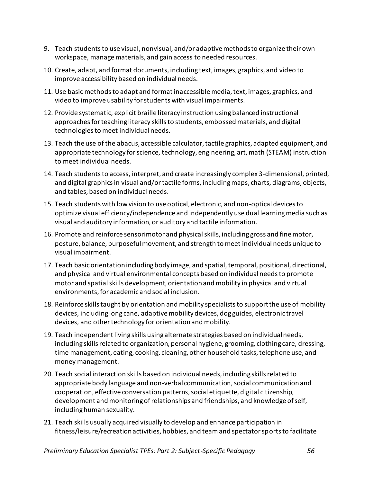- 9. Teach students to use visual, nonvisual, and/or adaptive methods to organize their own workspace, manage materials, and gain access to needed resources.
- 10. Create, adapt, and format documents, including text, images, graphics, and video to improve accessibility based on individual needs.
- 11. Use basic methods to adapt and format inaccessible media, text, images, graphics, and video to improve usability for students with visual impairments.
- 12. Provide systematic, explicit braille literacy instruction using balanced instructional approaches for teaching literacy skills to students, embossed materials, and digital technologies to meet individual needs.
- 13. Teach the use of the abacus, accessible calculator, tactile graphics, adapted equipment, and appropriate technology for science, technology, engineering, art, math (STEAM) instruction to meet individual needs.
- 14. Teach students to access, interpret, and create increasingly complex 3-dimensional, printed, and digital graphics in visual and/or tactile forms, including maps, charts, diagrams, objects, and tables, based on individual needs.
- 15. Teach students with low vision to use optical, electronic, and non-optical devices to optimize visual efficiency/independence and independently use dual learning media such as visual and auditory information, or auditory and tactile information.
- 16. Promote and reinforce sensorimotor and physical skills, including gross and fine motor, posture, balance, purposeful movement, and strength to meet individual needs unique to visual impairment.
- 17. Teach basic orientation including body image, and spatial, temporal, positional, directional, and physical and virtual environmental concepts based on individual needs to promote motor and spatial skills development, orientation and mobility in physical and virtual environments, for academic and social inclusion.
- 18. Reinforce skills taught by orientation and mobility specialists to support the use of mobility devices, including long cane, adaptive mobility devices, dog guides, electronic travel devices, and other technology for orientation and mobility.
- 19. Teach independent living skills using alternate strategies based on individual needs, including skills related to organization, personal hygiene, grooming, clothing care, dressing, time management, eating, cooking, cleaning, other household tasks, telephone use, and money management.
- 20. Teach social interaction skills based on individual needs, including skills related to appropriate body language and non-verbal communication, social communication and cooperation, effective conversation patterns, social etiquette, digital citizenship, development and monitoring of relationships and friendships, and knowledge of self, including human sexuality.
- 21. Teach skills usually acquired visually to develop and enhance participation in fitness/leisure/recreation activities, hobbies, and team and spectator sports to facilitate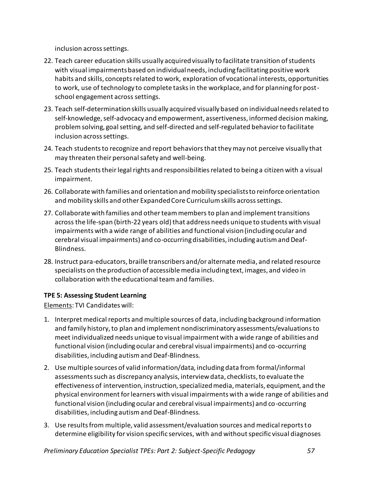inclusion across settings.

- 22. Teach career education skills usually acquired visually to facilitate transition of students with visual impairments based on individual needs, including facilitating positive work habits and skills, concepts related to work, exploration of vocational interests, opportunities to work, use of technology to complete tasks in the workplace, and for planning for postschool engagement across settings.
- 23. Teach self-determination skills usually acquired visually based on individual needs related to self-knowledge, self-advocacy and empowerment, assertiveness, informed decision making, problem solving, goal setting, and self-directed and self-regulated behavior to facilitate inclusion across settings.
- 24. Teach students to recognize and report behaviors that they may not perceive visually that may threaten their personal safety and well-being.
- 25. Teach students their legal rights and responsibilities related to being a citizen with a visual impairment.
- 26. Collaborate with families and orientation and mobility specialists to reinforce orientation and mobility skills and other Expanded Core Curriculum skills across settings.
- 27. Collaborate with families and other team members to plan and implement transitions across the life-span (birth-22 years old) that address needs unique to students with visual impairments with a wide range of abilities and functional vision (including ocular and cerebral visual impairments) and co-occurring disabilities, including autism and Deaf-Blindness.
- 28. Instruct para-educators, braille transcribers and/or alternate media, and related resource specialists on the production of accessible media including text, images, and video in collaboration with the educational team and families.

#### <span id="page-61-0"></span>**TPE 5: Assessing Student Learning**

- 1. Interpret medical reports and multiple sources of data, including background information and family history, to plan and implement nondiscriminatory assessments/evaluations to meet individualized needs unique to visual impairment with a wide range of abilities and functional vision (including ocular and cerebral visual impairments) and co-occurring disabilities, including autism and Deaf-Blindness.
- 2. Use multiple sources of valid information/data, including data from formal/informal assessments such as discrepancy analysis, interview data, checklists, to evaluate the effectiveness of intervention, instruction, specialized media, materials, equipment, and the physical environment for learners with visual impairments with a wide range of abilities and functional vision (including ocular and cerebral visual impairments) and co-occurring disabilities, including autism and Deaf-Blindness.
- 3. Use results from multiple, valid assessment/evaluation sources and medical reports to determine eligibility for vision specific services, with and without specific visual diagnoses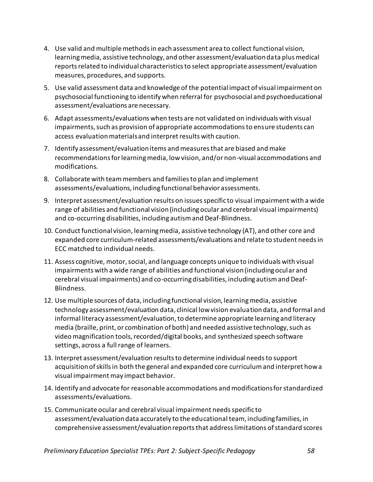- 4. Use valid and multiple methods in each assessment area to collect functional vision, learning media, assistive technology, and other assessment/evaluation data plus medical reports related to individual characteristics to select appropriate assessment/evaluation measures, procedures, and supports.
- 5. Use valid assessment data and knowledge of the potential impact of visual impairment on psychosocial functioning to identify when referral for psychosocial and psychoeducational assessment/evaluations are necessary.
- 6. Adapt assessments/evaluations when tests are not validated on individuals with visual impairments, such as provision of appropriate accommodations to ensure students can access evaluation materials and interpret results with caution.
- 7. Identify assessment/evaluation items and measures that are biased and make recommendations for learning media, low vision, and/or non-visual accommodations and modifications.
- 8. Collaborate with team members and families to plan and implement assessments/evaluations, including functional behavior assessments.
- 9. Interpret assessment/evaluation results on issues specific to visual impairment with a wide range of abilities and functional vision (including ocular and cerebral visual impairments) and co-occurring disabilities, including autism and Deaf-Blindness.
- 10. Conduct functional vision, learning media, assistive technology (AT), and other core and expanded core curriculum-related assessments/evaluations and relate to student needs in ECC matched to individual needs.
- 11. Assess cognitive, motor, social, and language concepts unique to individuals with visual impairments with a wide range of abilities and functional vision (including ocular and cerebral visual impairments) and co-occurring disabilities, including autism and Deaf-Blindness.
- 12. Use multiple sources of data, including functional vision, learning media, assistive technology assessment/evaluation data, clinical low vision evaluation data, and formal and informal literacy assessment/evaluation, to determine appropriate learning and literacy media (braille, print, or combination of both) and needed assistive technology, such as video magnification tools, recorded/digital books, and synthesized speech software settings, across a full range of learners.
- 13. Interpret assessment/evaluation results to determine individual needs to support acquisition of skills in both the general and expanded core curriculum and interpret how a visual impairment may impact behavior.
- 14. Identify and advocate for reasonable accommodations and modifications for standardized assessments/evaluations.
- 15. Communicate ocular and cerebral visual impairment needs specific to assessment/evaluation data accurately to the educational team, including families, in comprehensive assessment/evaluation reports that address limitations of standard scores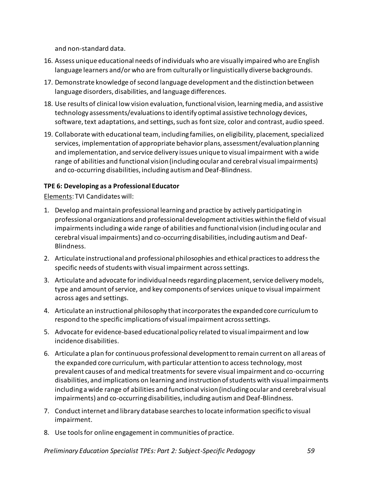and non-standard data.

- 16. Assess unique educational needs of individuals who are visually impaired who are English language learners and/or who are from culturally or linguistically diverse backgrounds.
- 17. Demonstrate knowledge of second language development and the distinction between language disorders, disabilities, and language differences.
- 18. Use results of clinical low vision evaluation, functional vision, learning media, and assistive technology assessments/evaluations to identify optimal assistive technology devices, software, text adaptations, and settings, such as font size, color and contrast, audio speed.
- 19. Collaborate with educational team, including families, on eligibility, placement, specialized services, implementation of appropriate behavior plans, assessment/evaluation planning and implementation, and service delivery issues unique to visual impairment with a wide range of abilities and functional vision (including ocular and cerebral visual impairments) and co-occurring disabilities, including autism and Deaf-Blindness.

#### <span id="page-63-0"></span>**TPE 6: Developing as a Professional Educator**

- 1. Develop and maintain professional learning and practice by actively participating in professional organizations and professional development activities within the field of visual impairments including a wide range of abilities and functional vision (including ocular and cerebral visual impairments) and co-occurring disabilities, including autism and Deaf-Blindness.
- 2. Articulate instructional and professional philosophies and ethical practices to address the specific needs of students with visual impairment across settings.
- 3. Articulate and advocate for individual needs regarding placement, service delivery models, type and amount of service, and key components of services unique to visual impairment across ages and settings.
- 4. Articulate an instructional philosophy that incorporates the expanded core curriculum to respond to the specific implications of visual impairment across settings.
- 5. Advocate for evidence-based educational policy related to visual impairment and low incidence disabilities.
- 6. Articulate a plan for continuous professional development to remain current on all areas of the expanded core curriculum, with particular attention to access technology, most prevalent causes of and medical treatments for severe visual impairment and co-occurring disabilities, and implications on learning and instruction of students with visual impairments including a wide range of abilities and functional vision (including ocular and cerebral visual impairments) and co-occurring disabilities, including autism and Deaf-Blindness.
- 7. Conduct internet and library database searches to locate information specific to visual impairment.
- 8. Use tools for online engagement in communities of practice.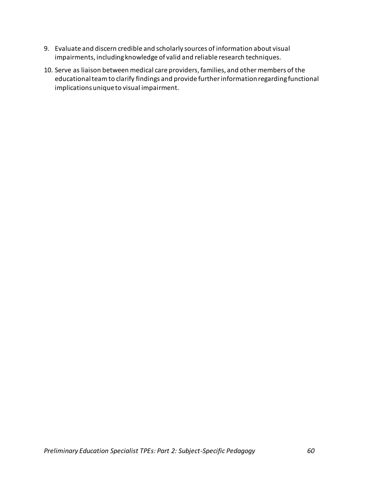- 9. Evaluate and discern credible and scholarly sources of information about visual impairments, including knowledge of valid and reliable research techniques.
- 10. Serve as liaison between medical care providers, families, and other members of the educational team to clarify findings and provide further information regarding functional implicationsunique to visual impairment.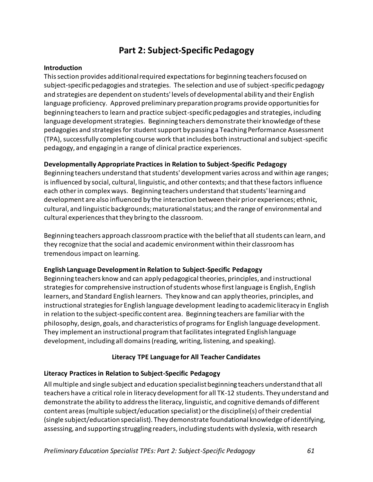### **Part 2: Subject-Specific Pedagogy**

#### **Introduction**

This section provides additional required expectations for beginning teachers focused on subject-specific pedagogies and strategies. The selection and use of subject-specific pedagogy and strategies are dependent on students' levels of developmental ability and their English language proficiency. Approved preliminary preparation programs provide opportunities for beginning teachers to learn and practice subject-specific pedagogies and strategies, including language development strategies. Beginning teachers demonstrate their knowledge of these pedagogies and strategies for student support by passing a Teaching Performance Assessment (TPA), successfully completing course work that includes both instructional and subject-specific pedagogy, and engaging in a range of clinical practice experiences.

#### **Developmentally Appropriate Practices in Relation to Subject-Specific Pedagogy**

Beginning teachers understand that students' development varies across and within age ranges; is influenced by social, cultural, linguistic, and other contexts; and that these factors influence each other in complex ways. Beginning teachers understand that students' learning and development are also influenced by the interaction between their prior experiences; ethnic, cultural, and linguistic backgrounds; maturational status; and the range of environmental and cultural experiences that they bring to the classroom.

Beginning teachers approach classroom practice with the belief that all students can learn, and they recognize that the social and academic environment within their classroom has tremendous impact on learning.

#### **English Language Development in Relation to Subject-Specific Pedagogy**

Beginning teachers know and can apply pedagogical theories, principles, and instructional strategies for comprehensive instruction of students whose first language is English, English learners, and Standard English learners. They know and can apply theories, principles, and instructional strategies for English language development leading to academic literacy in English in relation to the subject-specific content area. Beginning teachers are familiar with the philosophy, design, goals, and characteristics of programs for English language development. They implement an instructional program that facilitates integrated English language development, including all domains (reading, writing, listening, and speaking).

#### **Literacy TPE Language for All Teacher Candidates**

#### **Literacy Practices in Relation to Subject-Specific Pedagogy**

All multiple and single subject and education specialist beginning teachers understand that all teachers have a critical role in literacy development for all TK-12 students. They understand and demonstrate the ability to address the literacy, linguistic, and cognitive demands of different content areas (multiple subject/education specialist) or the discipline(s) of their credential (single subject/education specialist). They demonstrate foundational knowledge of identifying, assessing, and supporting struggling readers, including students with dyslexia, with research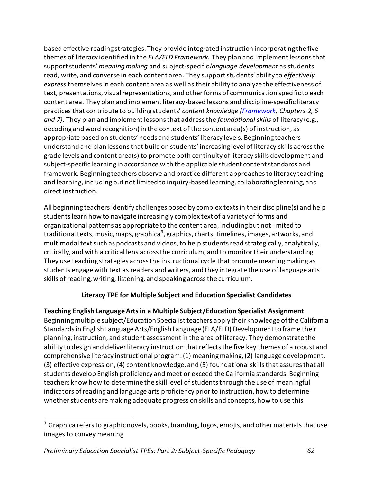based effective reading strategies. They provide integrated instruction incorporating the five themes of literacy identified in the *ELA/ELD Framework.* They plan and implement lessons that support students' *meaning making* and subject-specific *language development* as students read, write, and converse in each content area*.* They support students' ability to *effectively express* themselvesin each content area as well as their ability to analyze the effectiveness of text, presentations, visual representations, and other forms of communication specific to each content area. They plan and implement literacy-based lessons and discipline-specific literacy practices that contribute to building students' *content knowledge [\(Framework,](https://www.cde.ca.gov/ci/rl/cf/elaeldfrmwrkchptrs2014.asp) Chapters 2, 6 and 7)*. They plan and implement lessons that address the *foundational skills* of literacy (e.g., decoding and word recognition) in the context of the content area(s) of instruction, as appropriate based on students' needs and students' literacy levels. Beginning teachers understand and plan lessons that build on students' increasing level of literacy skills across the grade levels and content area(s) to promote both continuity of literacy skills development and subject-specific learning in accordance with the applicable student content standards and framework. Beginning teachers observe and practice different approaches to literacy teaching and learning, including but not limited to inquiry-based learning, collaborating learning, and direct instruction.

All beginning teachers identify challenges posed by complex texts in their discipline(s) and help students learn how to navigate increasingly complex text of a variety of forms and organizational patterns as appropriate to the content area, including but not limited to traditional texts, music, maps, graphica<sup>3</sup>, graphics, charts, timelines, images, artworks, and multimodal text such as podcasts and videos, to help students read strategically, analytically, critically, and with a critical lens across the curriculum, and to monitor their understanding. They use teaching strategies across the instructional cycle that promote meaning making as students engage with text as readers and writers, and they integrate the use of language arts skills of reading, writing, listening, and speaking across the curriculum.

### **Literacy TPE for Multiple Subject and Education Specialist Candidates**

**Teaching English Language Arts in a Multiple Subject/Education Specialist Assignment** Beginning multiple subject/Education Specialist teachers apply their knowledge of the California Standards in English Language Arts/English Language (ELA/ELD) Development to frame their planning, instruction, and student assessment in the area of literacy. They demonstrate the ability to design and deliver literacy instruction that reflects the five key themes of a robust and comprehensive literacy instructional program: (1) meaning making, (2) language development, (3) effective expression, (4) content knowledge, and (5) foundational skills that assures that all students develop English proficiency and meet or exceed the California standards. Beginning teachers know how to determine the skill level of students through the use of meaningful indicators of reading and language arts proficiency prior to instruction, how to determine whether students are making adequate progress on skills and concepts, how to use this

<sup>&</sup>lt;sup>3</sup> Graphica refers to graphic novels, books, branding, logos, emojis, and other materials that use images to convey meaning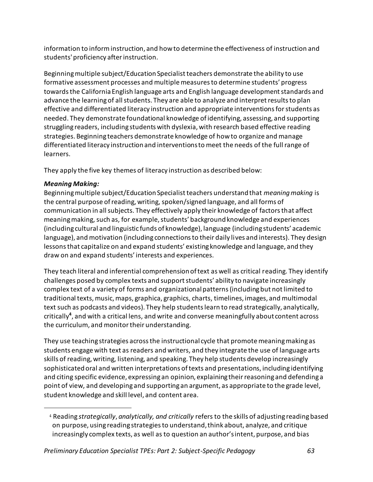information to inform instruction, and how to determine the effectiveness of instruction and students' proficiency after instruction.

Beginning multiple subject/Education Specialist teachers demonstrate the ability to use formative assessment processes and multiple measures to determine students' progress towards the California English language arts and English language development standards and advance the learning of all students. They are able to analyze and interpret results to plan effective and differentiated literacy instruction and appropriate interventions for students as needed. They demonstrate foundational knowledge of identifying, assessing, and supporting struggling readers, including students with dyslexia, with research based effective reading strategies. Beginning teachers demonstrate knowledge of how to organize and manage differentiated literacy instruction and interventions to meet the needs of the full range of learners.

They apply the five key themes of literacy instruction as described below:

### *Meaning Making:*

Beginning multiple subject/Education Specialist teachers understand that *meaning making* is the central purpose of reading, writing, spoken/signed language, and all forms of communication in all subjects. They effectively apply their knowledge of factors that affect meaning making, such as, for example, students' background knowledge and experiences (including cultural and linguistic funds of knowledge), language (including students' academic language), and motivation (including connections to their daily lives and interests). They design lessons that capitalize on and expand students' existing knowledge and language, and they draw on and expand students' interests and experiences.

They teach literal and inferential comprehension of text as well as critical reading. They identify challenges posed by complex texts and support students' ability to navigate increasingly complex text of a variety of forms and organizational patterns (including but not limited to traditional texts, music, maps, graphica, graphics, charts, timelines, images, and multimodal text such as podcasts and videos). They help students learn to read strategically, analytically, critically**<sup>4</sup>** , and with a critical lens, and write and converse meaningfully about content across the curriculum, and monitor their understanding.

They use teaching strategies across the instructional cycle that promote meaning making as students engage with text as readers and writers, and they integrate the use of language arts skills of reading, writing, listening, and speaking. They help students develop increasingly sophisticated oral and written interpretations of texts and presentations, including identifying and citing specific evidence, expressing an opinion, explaining their reasoning and defending a point of view, and developing and supporting an argument, as appropriate to the grade level, student knowledge and skill level, and content area.

<sup>4</sup> Reading *strategically*, *analytically, and critically* refers to the skills of adjusting reading based on purpose, using reading strategies to understand, think about, analyze, and critique increasingly complex texts, as well as to question an author's intent, purpose, and bias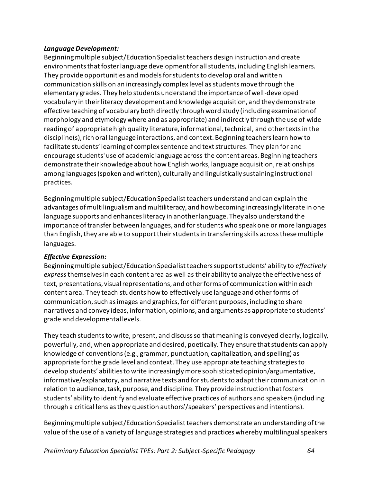#### *Language Development:*

Beginning multiple subject/Education Specialist teachers design instruction and create environments that foster language development for all students, including English learners. They provide opportunities and models for students to develop oral and written communication skills on an increasingly complex level as students move through the elementary grades. They help students understand the importance of well-developed vocabulary in their literacy development and knowledge acquisition, and they demonstrate effective teaching of vocabulary both directly through word study (including examination of morphology and etymology where and as appropriate) and indirectly through the use of wide reading of appropriate high quality literature, informational, technical, and other texts in the discipline(s), rich oral language interactions, and context. Beginning teachers learn how to facilitate students' learning of complex sentence and text structures. They plan for and encourage students' use of academic language across the content areas. Beginning teachers demonstrate their knowledge about how English works, language acquisition, relationships among languages (spoken and written), culturally and linguistically sustaining instructional practices.

Beginning multiple subject/Education Specialist teachers understand and can explain the advantages of multilingualism and multiliteracy, and how becoming increasingly literate in one language supports and enhances literacy in another language. They also understand the importance of transfer between languages, and for students who speak one or more languages than English, they are able to support their students in transferring skills across these multiple languages.

#### *Effective Expression:*

Beginning multiple subject/Education Specialist teachers support students' ability to *effectively express* themselvesin each content area as well as their ability to analyze the effectiveness of text, presentations, visual representations, and other forms of communication within each content area. They teach students how to effectively use language and other forms of communication, such as images and graphics, for different purposes, including to share narratives and convey ideas, information, opinions, and arguments as appropriate to students' grade and developmental levels.

They teach students to write, present, and discuss so that meaning is conveyed clearly, logically, powerfully, and, when appropriate and desired, poetically. They ensure that students can apply knowledge of conventions (e.g., grammar, punctuation, capitalization, and spelling) as appropriate for the grade level and context. They use appropriate teaching strategies to develop students' abilities to write increasingly more sophisticated opinion/argumentative, informative/explanatory, and narrative texts and for students to adapt their communication in relation to audience, task, purpose, and discipline. They provide instruction that fosters students' ability to identify and evaluate effective practices of authors and speakers (including through a critical lens as they question authors'/speakers' perspectives and intentions).

Beginning multiple subject/Education Specialist teachers demonstrate an understanding of the value of the use of a variety of language strategies and practices whereby multilingual speakers